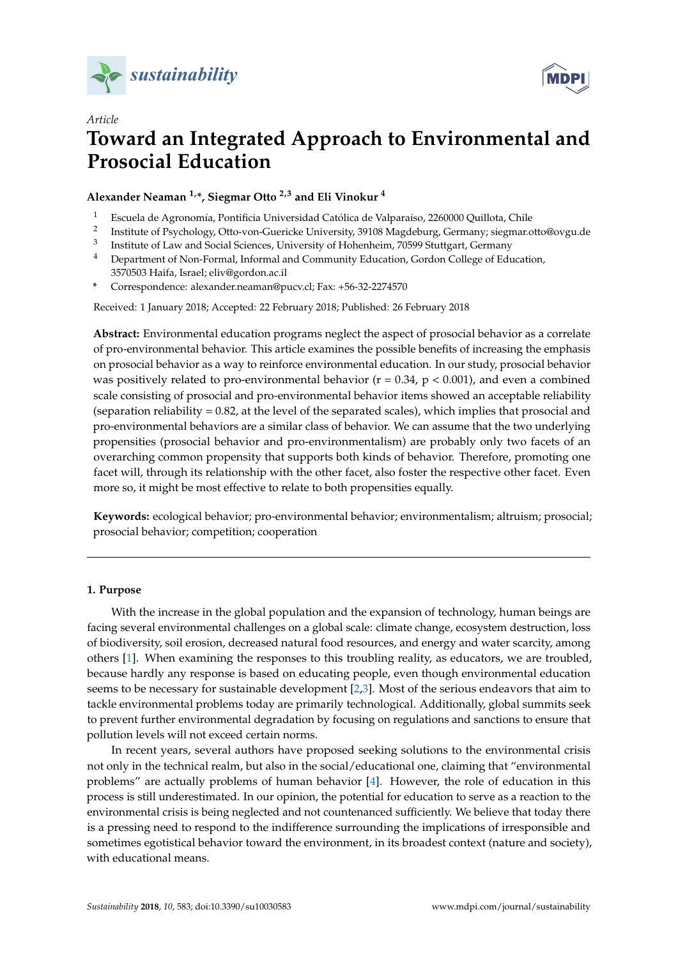



# *Article* **Toward an Integrated Approach to Environmental and Prosocial Education**

**Alexander Neaman 1,\*, Siegmar Otto 2,3 and Eli Vinokur <sup>4</sup>**

- <sup>1</sup> Escuela de Agronomía, Pontificia Universidad Católica de Valparaíso, 2260000 Quillota, Chile
- 2 Institute of Psychology, Otto-von-Guericke University, 39108 Magdeburg, Germany; siegmar.otto@ovgu.de
- 3 Institute of Law and Social Sciences, University of Hohenheim, 70599 Stuttgart, Germany
- <sup>4</sup> Department of Non-Formal, Informal and Community Education, Gordon College of Education, 3570503 Haifa, Israel; eliv@gordon.ac.il
- **\*** Correspondence: alexander.neaman@pucv.cl; Fax: +56-32-2274570

Received: 1 January 2018; Accepted: 22 February 2018; Published: 26 February 2018

**Abstract:** Environmental education programs neglect the aspect of prosocial behavior as a correlate of pro-environmental behavior. This article examines the possible benefits of increasing the emphasis on prosocial behavior as a way to reinforce environmental education. In our study, prosocial behavior was positively related to pro-environmental behavior ( $r = 0.34$ ,  $p < 0.001$ ), and even a combined scale consisting of prosocial and pro-environmental behavior items showed an acceptable reliability (separation reliability = 0.82, at the level of the separated scales), which implies that prosocial and pro-environmental behaviors are a similar class of behavior. We can assume that the two underlying propensities (prosocial behavior and pro-environmentalism) are probably only two facets of an overarching common propensity that supports both kinds of behavior. Therefore, promoting one facet will, through its relationship with the other facet, also foster the respective other facet. Even more so, it might be most effective to relate to both propensities equally.

**Keywords:** ecological behavior; pro-environmental behavior; environmentalism; altruism; prosocial; prosocial behavior; competition; cooperation

# **1. Purpose**

With the increase in the global population and the expansion of technology, human beings are facing several environmental challenges on a global scale: climate change, ecosystem destruction, loss of biodiversity, soil erosion, decreased natural food resources, and energy and water scarcity, among others [\[1\]](#page-7-0). When examining the responses to this troubling reality, as educators, we are troubled, because hardly any response is based on educating people, even though environmental education seems to be necessary for sustainable development [\[2,](#page-7-1)[3\]](#page-8-0). Most of the serious endeavors that aim to tackle environmental problems today are primarily technological. Additionally, global summits seek to prevent further environmental degradation by focusing on regulations and sanctions to ensure that pollution levels will not exceed certain norms.

In recent years, several authors have proposed seeking solutions to the environmental crisis not only in the technical realm, but also in the social/educational one, claiming that "environmental problems" are actually problems of human behavior [\[4\]](#page-8-1). However, the role of education in this process is still underestimated. In our opinion, the potential for education to serve as a reaction to the environmental crisis is being neglected and not countenanced sufficiently. We believe that today there is a pressing need to respond to the indifference surrounding the implications of irresponsible and sometimes egotistical behavior toward the environment, in its broadest context (nature and society), with educational means.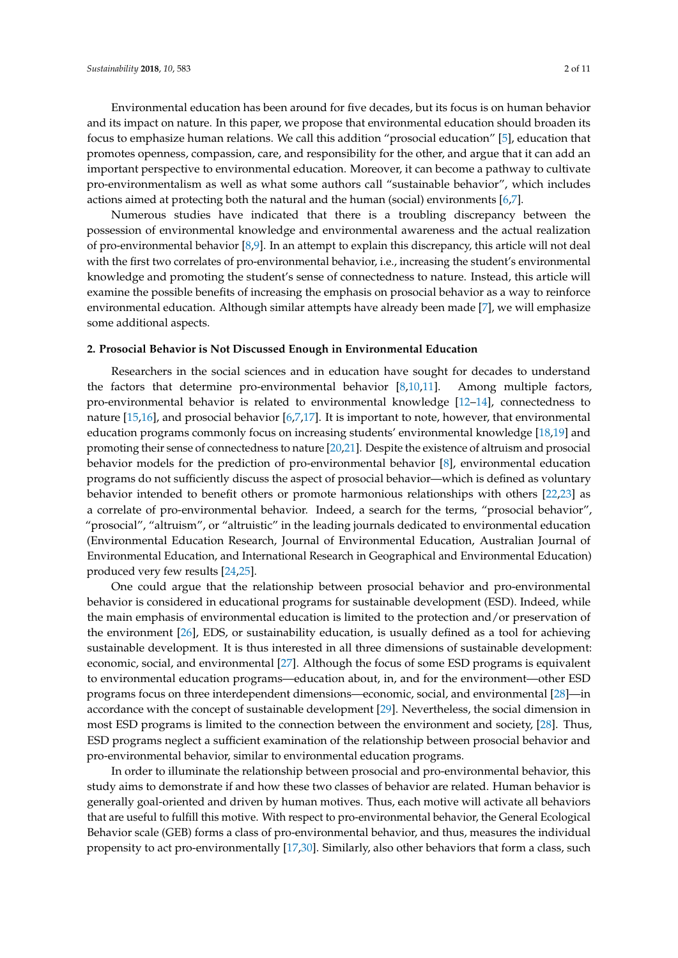Environmental education has been around for five decades, but its focus is on human behavior and its impact on nature. In this paper, we propose that environmental education should broaden its focus to emphasize human relations. We call this addition "prosocial education" [\[5\]](#page-8-2), education that promotes openness, compassion, care, and responsibility for the other, and argue that it can add an important perspective to environmental education. Moreover, it can become a pathway to cultivate pro-environmentalism as well as what some authors call "sustainable behavior", which includes actions aimed at protecting both the natural and the human (social) environments [\[6](#page-8-3)[,7\]](#page-8-4).

Numerous studies have indicated that there is a troubling discrepancy between the possession of environmental knowledge and environmental awareness and the actual realization of pro-environmental behavior [\[8,](#page-8-5)[9\]](#page-8-6). In an attempt to explain this discrepancy, this article will not deal with the first two correlates of pro-environmental behavior, i.e., increasing the student's environmental knowledge and promoting the student's sense of connectedness to nature. Instead, this article will examine the possible benefits of increasing the emphasis on prosocial behavior as a way to reinforce environmental education. Although similar attempts have already been made [\[7\]](#page-8-4), we will emphasize some additional aspects.

#### **2. Prosocial Behavior is Not Discussed Enough in Environmental Education**

Researchers in the social sciences and in education have sought for decades to understand the factors that determine pro-environmental behavior [\[8,](#page-8-5)[10,](#page-8-7)[11\]](#page-8-8). Among multiple factors, pro-environmental behavior is related to environmental knowledge [\[12](#page-8-9)[–14\]](#page-8-10), connectedness to nature [\[15,](#page-8-11)[16\]](#page-8-12), and prosocial behavior [\[6](#page-8-3)[,7,](#page-8-4)[17\]](#page-8-13). It is important to note, however, that environmental education programs commonly focus on increasing students' environmental knowledge [\[18](#page-8-14)[,19\]](#page-8-15) and promoting their sense of connectedness to nature [\[20](#page-8-16)[,21\]](#page-8-17). Despite the existence of altruism and prosocial behavior models for the prediction of pro-environmental behavior [\[8\]](#page-8-5), environmental education programs do not sufficiently discuss the aspect of prosocial behavior—which is defined as voluntary behavior intended to benefit others or promote harmonious relationships with others [\[22,](#page-8-18)[23\]](#page-8-19) as a correlate of pro-environmental behavior. Indeed, a search for the terms, "prosocial behavior", "prosocial", "altruism", or "altruistic" in the leading journals dedicated to environmental education (Environmental Education Research, Journal of Environmental Education, Australian Journal of Environmental Education, and International Research in Geographical and Environmental Education) produced very few results [\[24](#page-8-20)[,25\]](#page-8-21).

One could argue that the relationship between prosocial behavior and pro-environmental behavior is considered in educational programs for sustainable development (ESD). Indeed, while the main emphasis of environmental education is limited to the protection and/or preservation of the environment [\[26\]](#page-8-22), EDS, or sustainability education, is usually defined as a tool for achieving sustainable development. It is thus interested in all three dimensions of sustainable development: economic, social, and environmental [\[27\]](#page-9-0). Although the focus of some ESD programs is equivalent to environmental education programs—education about, in, and for the environment—other ESD programs focus on three interdependent dimensions—economic, social, and environmental [\[28\]](#page-9-1)—in accordance with the concept of sustainable development [\[29\]](#page-9-2). Nevertheless, the social dimension in most ESD programs is limited to the connection between the environment and society, [\[28\]](#page-9-1). Thus, ESD programs neglect a sufficient examination of the relationship between prosocial behavior and pro-environmental behavior, similar to environmental education programs.

In order to illuminate the relationship between prosocial and pro-environmental behavior, this study aims to demonstrate if and how these two classes of behavior are related. Human behavior is generally goal-oriented and driven by human motives. Thus, each motive will activate all behaviors that are useful to fulfill this motive. With respect to pro-environmental behavior, the General Ecological Behavior scale (GEB) forms a class of pro-environmental behavior, and thus, measures the individual propensity to act pro-environmentally [\[17](#page-8-13)[,30\]](#page-9-3). Similarly, also other behaviors that form a class, such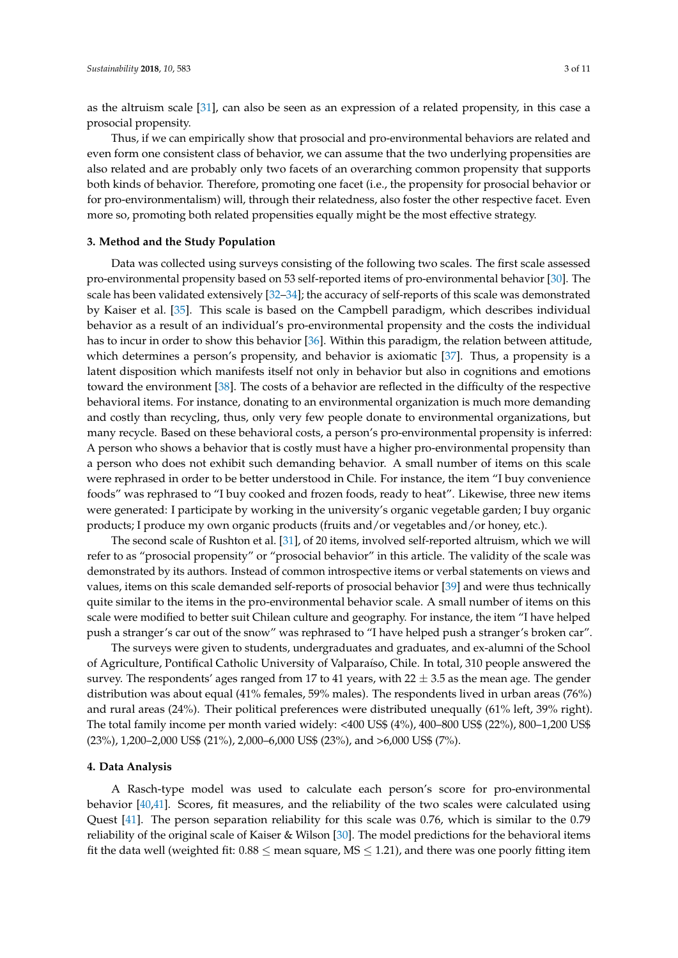as the altruism scale [\[31\]](#page-9-4), can also be seen as an expression of a related propensity, in this case a prosocial propensity.

Thus, if we can empirically show that prosocial and pro-environmental behaviors are related and even form one consistent class of behavior, we can assume that the two underlying propensities are also related and are probably only two facets of an overarching common propensity that supports both kinds of behavior. Therefore, promoting one facet (i.e., the propensity for prosocial behavior or for pro-environmentalism) will, through their relatedness, also foster the other respective facet. Even more so, promoting both related propensities equally might be the most effective strategy.

# **3. Method and the Study Population**

Data was collected using surveys consisting of the following two scales. The first scale assessed pro-environmental propensity based on 53 self-reported items of pro-environmental behavior [\[30\]](#page-9-3). The scale has been validated extensively [\[32](#page-9-5)[–34\]](#page-9-6); the accuracy of self-reports of this scale was demonstrated by Kaiser et al. [\[35\]](#page-9-7). This scale is based on the Campbell paradigm, which describes individual behavior as a result of an individual's pro-environmental propensity and the costs the individual has to incur in order to show this behavior [\[36\]](#page-9-8). Within this paradigm, the relation between attitude, which determines a person's propensity, and behavior is axiomatic [\[37\]](#page-9-9). Thus, a propensity is a latent disposition which manifests itself not only in behavior but also in cognitions and emotions toward the environment [\[38\]](#page-9-10). The costs of a behavior are reflected in the difficulty of the respective behavioral items. For instance, donating to an environmental organization is much more demanding and costly than recycling, thus, only very few people donate to environmental organizations, but many recycle. Based on these behavioral costs, a person's pro-environmental propensity is inferred: A person who shows a behavior that is costly must have a higher pro-environmental propensity than a person who does not exhibit such demanding behavior. A small number of items on this scale were rephrased in order to be better understood in Chile. For instance, the item "I buy convenience foods" was rephrased to "I buy cooked and frozen foods, ready to heat". Likewise, three new items were generated: I participate by working in the university's organic vegetable garden; I buy organic products; I produce my own organic products (fruits and/or vegetables and/or honey, etc.).

The second scale of Rushton et al. [\[31\]](#page-9-4), of 20 items, involved self-reported altruism, which we will refer to as "prosocial propensity" or "prosocial behavior" in this article. The validity of the scale was demonstrated by its authors. Instead of common introspective items or verbal statements on views and values, items on this scale demanded self-reports of prosocial behavior [\[39\]](#page-9-11) and were thus technically quite similar to the items in the pro-environmental behavior scale. A small number of items on this scale were modified to better suit Chilean culture and geography. For instance, the item "I have helped push a stranger's car out of the snow" was rephrased to "I have helped push a stranger's broken car".

The surveys were given to students, undergraduates and graduates, and ex-alumni of the School of Agriculture, Pontifical Catholic University of Valparaíso, Chile. In total, 310 people answered the survey. The respondents' ages ranged from 17 to 41 years, with  $22 \pm 3.5$  as the mean age. The gender distribution was about equal (41% females, 59% males). The respondents lived in urban areas (76%) and rural areas (24%). Their political preferences were distributed unequally (61% left, 39% right). The total family income per month varied widely: <400 US\$ (4%), 400–800 US\$ (22%), 800–1,200 US\$ (23%), 1,200–2,000 US\$ (21%), 2,000–6,000 US\$ (23%), and >6,000 US\$ (7%).

## **4. Data Analysis**

A Rasch-type model was used to calculate each person's score for pro-environmental behavior [\[40,](#page-9-12)[41\]](#page-9-13). Scores, fit measures, and the reliability of the two scales were calculated using Quest [\[41\]](#page-9-13). The person separation reliability for this scale was 0.76, which is similar to the 0.79 reliability of the original scale of Kaiser & Wilson [\[30\]](#page-9-3). The model predictions for the behavioral items fit the data well (weighted fit:  $0.88 \le$  mean square, MS  $\le$  1.21), and there was one poorly fitting item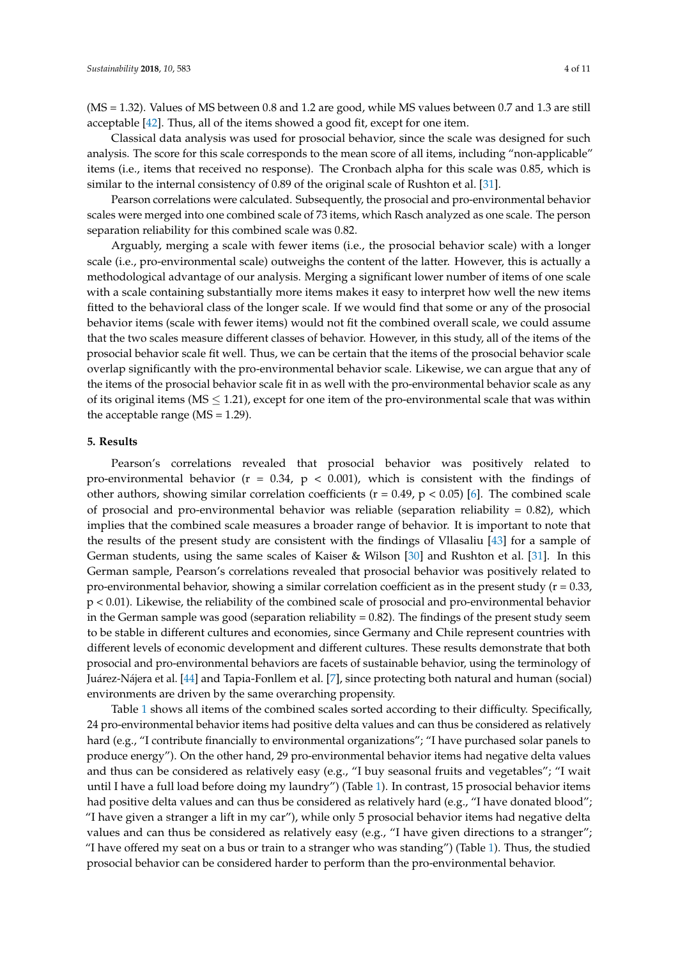(MS = 1.32). Values of MS between 0.8 and 1.2 are good, while MS values between 0.7 and 1.3 are still acceptable [\[42\]](#page-9-14). Thus, all of the items showed a good fit, except for one item.

Classical data analysis was used for prosocial behavior, since the scale was designed for such analysis. The score for this scale corresponds to the mean score of all items, including "non-applicable" items (i.e., items that received no response). The Cronbach alpha for this scale was 0.85, which is similar to the internal consistency of 0.89 of the original scale of Rushton et al. [\[31\]](#page-9-4).

Pearson correlations were calculated. Subsequently, the prosocial and pro-environmental behavior scales were merged into one combined scale of 73 items, which Rasch analyzed as one scale. The person separation reliability for this combined scale was 0.82.

Arguably, merging a scale with fewer items (i.e., the prosocial behavior scale) with a longer scale (i.e., pro-environmental scale) outweighs the content of the latter. However, this is actually a methodological advantage of our analysis. Merging a significant lower number of items of one scale with a scale containing substantially more items makes it easy to interpret how well the new items fitted to the behavioral class of the longer scale. If we would find that some or any of the prosocial behavior items (scale with fewer items) would not fit the combined overall scale, we could assume that the two scales measure different classes of behavior. However, in this study, all of the items of the prosocial behavior scale fit well. Thus, we can be certain that the items of the prosocial behavior scale overlap significantly with the pro-environmental behavior scale. Likewise, we can argue that any of the items of the prosocial behavior scale fit in as well with the pro-environmental behavior scale as any of its original items ( $MS \leq 1.21$ ), except for one item of the pro-environmental scale that was within the acceptable range ( $MS = 1.29$ ).

# **5. Results**

Pearson's correlations revealed that prosocial behavior was positively related to pro-environmental behavior ( $r = 0.34$ ,  $p < 0.001$ ), which is consistent with the findings of other authors, showing similar correlation coefficients ( $r = 0.49$ ,  $p < 0.05$ ) [\[6\]](#page-8-3). The combined scale of prosocial and pro-environmental behavior was reliable (separation reliability  $= 0.82$ ), which implies that the combined scale measures a broader range of behavior. It is important to note that the results of the present study are consistent with the findings of Vllasaliu [\[43\]](#page-9-15) for a sample of German students, using the same scales of Kaiser & Wilson [\[30\]](#page-9-3) and Rushton et al. [\[31\]](#page-9-4). In this German sample, Pearson's correlations revealed that prosocial behavior was positively related to pro-environmental behavior, showing a similar correlation coefficient as in the present study ( $r = 0.33$ , p < 0.01). Likewise, the reliability of the combined scale of prosocial and pro-environmental behavior in the German sample was good (separation reliability  $= 0.82$ ). The findings of the present study seem to be stable in different cultures and economies, since Germany and Chile represent countries with different levels of economic development and different cultures. These results demonstrate that both prosocial and pro-environmental behaviors are facets of sustainable behavior, using the terminology of Juárez-Nájera et al. [\[44\]](#page-9-16) and Tapia-Fonllem et al. [\[7\]](#page-8-4), since protecting both natural and human (social) environments are driven by the same overarching propensity.

Table [1](#page-5-0) shows all items of the combined scales sorted according to their difficulty. Specifically, 24 pro-environmental behavior items had positive delta values and can thus be considered as relatively hard (e.g., "I contribute financially to environmental organizations"; "I have purchased solar panels to produce energy"). On the other hand, 29 pro-environmental behavior items had negative delta values and thus can be considered as relatively easy (e.g., "I buy seasonal fruits and vegetables"; "I wait until I have a full load before doing my laundry") (Table [1\)](#page-5-0). In contrast, 15 prosocial behavior items had positive delta values and can thus be considered as relatively hard (e.g., "I have donated blood"; "I have given a stranger a lift in my car"), while only 5 prosocial behavior items had negative delta values and can thus be considered as relatively easy (e.g., "I have given directions to a stranger"; "I have offered my seat on a bus or train to a stranger who was standing") (Table [1\)](#page-5-0). Thus, the studied prosocial behavior can be considered harder to perform than the pro-environmental behavior.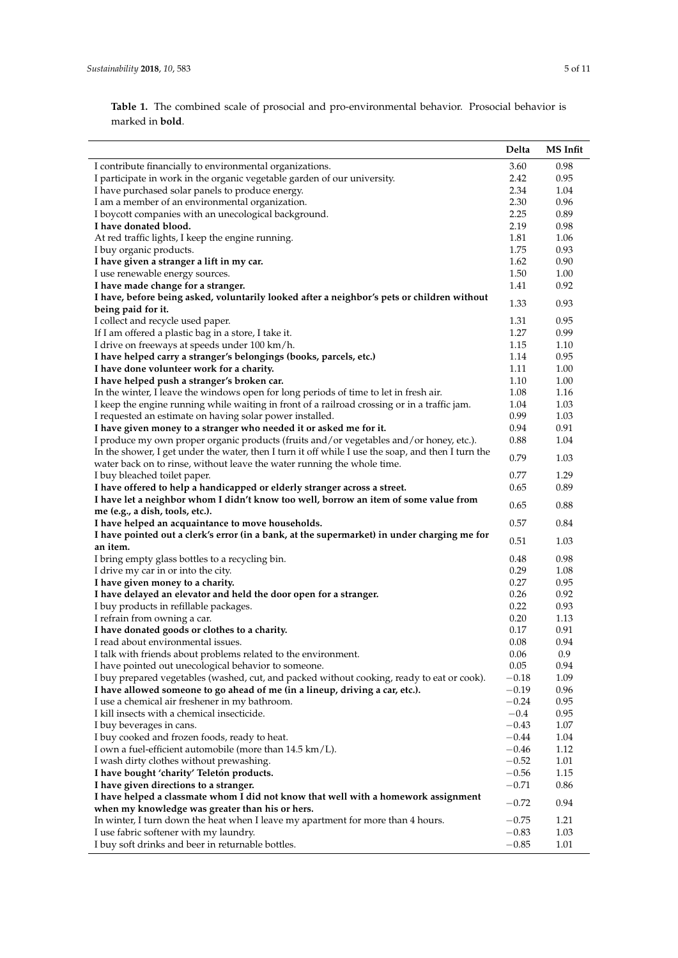**Table 1.** The combined scale of prosocial and pro-environmental behavior. Prosocial behavior is marked in **bold**.

| 3.60<br>0.98<br>I contribute financially to environmental organizations.<br>I participate in work in the organic vegetable garden of our university.<br>2.42<br>0.95<br>I have purchased solar panels to produce energy.<br>2.34<br>1.04<br>2.30<br>I am a member of an environmental organization.<br>0.96<br>2.25<br>I boycott companies with an unecological background.<br>0.89<br>2.19<br>I have donated blood.<br>0.98<br>At red traffic lights, I keep the engine running.<br>1.81<br>1.06<br>I buy organic products.<br>1.75<br>0.93<br>I have given a stranger a lift in my car.<br>1.62<br>0.90<br>I use renewable energy sources.<br>1.50<br>1.00<br>I have made change for a stranger.<br>1.41<br>0.92<br>I have, before being asked, voluntarily looked after a neighbor's pets or children without<br>1.33<br>0.93<br>being paid for it.<br>I collect and recycle used paper.<br>1.31<br>0.95<br>If I am offered a plastic bag in a store, I take it.<br>1.27<br>0.99<br>I drive on freeways at speeds under 100 km/h.<br>1.15<br>1.10<br>I have helped carry a stranger's belongings (books, parcels, etc.)<br>1.14<br>0.95<br>I have done volunteer work for a charity.<br>1.11<br>1.00<br>1.10<br>1.00<br>I have helped push a stranger's broken car.<br>In the winter, I leave the windows open for long periods of time to let in fresh air.<br>1.08<br>1.16<br>I keep the engine running while waiting in front of a railroad crossing or in a traffic jam.<br>1.03<br>1.04<br>I requested an estimate on having solar power installed.<br>0.99<br>1.03<br>I have given money to a stranger who needed it or asked me for it.<br>0.94<br>0.91<br>I produce my own proper organic products (fruits and/or vegetables and/or honey, etc.).<br>0.88<br>1.04<br>In the shower, I get under the water, then I turn it off while I use the soap, and then I turn the<br>0.79<br>1.03<br>water back on to rinse, without leave the water running the whole time.<br>0.77<br>1.29<br>I buy bleached toilet paper.<br>I have offered to help a handicapped or elderly stranger across a street.<br>0.65<br>0.89<br>I have let a neighbor whom I didn't know too well, borrow an item of some value from<br>0.65<br>0.88<br>me (e.g., a dish, tools, etc.).<br>0.57<br>0.84<br>I have helped an acquaintance to move households.<br>I have pointed out a clerk's error (in a bank, at the supermarket) in under charging me for<br>0.51<br>1.03<br>an item.<br>0.98<br>I bring empty glass bottles to a recycling bin.<br>0.48<br>0.29<br>I drive my car in or into the city.<br>1.08<br>0.27<br>0.95<br>I have given money to a charity.<br>0.26<br>0.92<br>I have delayed an elevator and held the door open for a stranger.<br>0.22<br>0.93<br>I buy products in refillable packages.<br>I refrain from owning a car.<br>0.20<br>1.13<br>I have donated goods or clothes to a charity.<br>0.17<br>0.91<br>0.08<br>0.94<br>I read about environmental issues.<br>0.06<br>I talk with friends about problems related to the environment.<br>0.9<br>0.05<br>I have pointed out unecological behavior to someone.<br>0.94<br>I buy prepared vegetables (washed, cut, and packed without cooking, ready to eat or cook).<br>$-0.18$<br>1.09<br>I have allowed someone to go ahead of me (in a lineup, driving a car, etc.).<br>$-0.19$<br>0.96<br>I use a chemical air freshener in my bathroom.<br>$-0.24$<br>0.95<br>$-0.4$<br>0.95<br>I kill insects with a chemical insecticide.<br>$-0.43$<br>1.07<br>I buy beverages in cans.<br>I buy cooked and frozen foods, ready to heat.<br>$-0.44$<br>1.04<br>I own a fuel-efficient automobile (more than 14.5 km/L).<br>$-0.46$<br>1.12<br>$-0.52$<br>1.01<br>I wash dirty clothes without prewashing.<br>$-0.56$<br>1.15<br>I have bought 'charity' Teletón products.<br>I have given directions to a stranger.<br>$-0.71$<br>0.86<br>I have helped a classmate whom I did not know that well with a homework assignment<br>$-0.72$<br>0.94<br>when my knowledge was greater than his or hers.<br>1.21<br>In winter, I turn down the heat when I leave my apartment for more than 4 hours.<br>$-0.75$<br>1.03<br>I use fabric softener with my laundry.<br>$-0.83$<br>$-0.85$<br>1.01 |                                                   | Delta | MS Infit |
|-----------------------------------------------------------------------------------------------------------------------------------------------------------------------------------------------------------------------------------------------------------------------------------------------------------------------------------------------------------------------------------------------------------------------------------------------------------------------------------------------------------------------------------------------------------------------------------------------------------------------------------------------------------------------------------------------------------------------------------------------------------------------------------------------------------------------------------------------------------------------------------------------------------------------------------------------------------------------------------------------------------------------------------------------------------------------------------------------------------------------------------------------------------------------------------------------------------------------------------------------------------------------------------------------------------------------------------------------------------------------------------------------------------------------------------------------------------------------------------------------------------------------------------------------------------------------------------------------------------------------------------------------------------------------------------------------------------------------------------------------------------------------------------------------------------------------------------------------------------------------------------------------------------------------------------------------------------------------------------------------------------------------------------------------------------------------------------------------------------------------------------------------------------------------------------------------------------------------------------------------------------------------------------------------------------------------------------------------------------------------------------------------------------------------------------------------------------------------------------------------------------------------------------------------------------------------------------------------------------------------------------------------------------------------------------------------------------------------------------------------------------------------------------------------------------------------------------------------------------------------------------------------------------------------------------------------------------------------------------------------------------------------------------------------------------------------------------------------------------------------------------------------------------------------------------------------------------------------------------------------------------------------------------------------------------------------------------------------------------------------------------------------------------------------------------------------------------------------------------------------------------------------------------------------------------------------------------------------------------------------------------------------------------------------------------------------------------------------------------------------------------------------------------------------------------------------------------------------------------------------------------------------------------------------------------------------------------------------------------------------------------------------------------------------------------------------------------------------------------------------------------------------------------------------------------------------------------------------------------------------|---------------------------------------------------|-------|----------|
|                                                                                                                                                                                                                                                                                                                                                                                                                                                                                                                                                                                                                                                                                                                                                                                                                                                                                                                                                                                                                                                                                                                                                                                                                                                                                                                                                                                                                                                                                                                                                                                                                                                                                                                                                                                                                                                                                                                                                                                                                                                                                                                                                                                                                                                                                                                                                                                                                                                                                                                                                                                                                                                                                                                                                                                                                                                                                                                                                                                                                                                                                                                                                                                                                                                                                                                                                                                                                                                                                                                                                                                                                                                                                                                                                                                                                                                                                                                                                                                                                                                                                                                                                                                                                                               |                                                   |       |          |
|                                                                                                                                                                                                                                                                                                                                                                                                                                                                                                                                                                                                                                                                                                                                                                                                                                                                                                                                                                                                                                                                                                                                                                                                                                                                                                                                                                                                                                                                                                                                                                                                                                                                                                                                                                                                                                                                                                                                                                                                                                                                                                                                                                                                                                                                                                                                                                                                                                                                                                                                                                                                                                                                                                                                                                                                                                                                                                                                                                                                                                                                                                                                                                                                                                                                                                                                                                                                                                                                                                                                                                                                                                                                                                                                                                                                                                                                                                                                                                                                                                                                                                                                                                                                                                               |                                                   |       |          |
|                                                                                                                                                                                                                                                                                                                                                                                                                                                                                                                                                                                                                                                                                                                                                                                                                                                                                                                                                                                                                                                                                                                                                                                                                                                                                                                                                                                                                                                                                                                                                                                                                                                                                                                                                                                                                                                                                                                                                                                                                                                                                                                                                                                                                                                                                                                                                                                                                                                                                                                                                                                                                                                                                                                                                                                                                                                                                                                                                                                                                                                                                                                                                                                                                                                                                                                                                                                                                                                                                                                                                                                                                                                                                                                                                                                                                                                                                                                                                                                                                                                                                                                                                                                                                                               |                                                   |       |          |
|                                                                                                                                                                                                                                                                                                                                                                                                                                                                                                                                                                                                                                                                                                                                                                                                                                                                                                                                                                                                                                                                                                                                                                                                                                                                                                                                                                                                                                                                                                                                                                                                                                                                                                                                                                                                                                                                                                                                                                                                                                                                                                                                                                                                                                                                                                                                                                                                                                                                                                                                                                                                                                                                                                                                                                                                                                                                                                                                                                                                                                                                                                                                                                                                                                                                                                                                                                                                                                                                                                                                                                                                                                                                                                                                                                                                                                                                                                                                                                                                                                                                                                                                                                                                                                               |                                                   |       |          |
|                                                                                                                                                                                                                                                                                                                                                                                                                                                                                                                                                                                                                                                                                                                                                                                                                                                                                                                                                                                                                                                                                                                                                                                                                                                                                                                                                                                                                                                                                                                                                                                                                                                                                                                                                                                                                                                                                                                                                                                                                                                                                                                                                                                                                                                                                                                                                                                                                                                                                                                                                                                                                                                                                                                                                                                                                                                                                                                                                                                                                                                                                                                                                                                                                                                                                                                                                                                                                                                                                                                                                                                                                                                                                                                                                                                                                                                                                                                                                                                                                                                                                                                                                                                                                                               |                                                   |       |          |
|                                                                                                                                                                                                                                                                                                                                                                                                                                                                                                                                                                                                                                                                                                                                                                                                                                                                                                                                                                                                                                                                                                                                                                                                                                                                                                                                                                                                                                                                                                                                                                                                                                                                                                                                                                                                                                                                                                                                                                                                                                                                                                                                                                                                                                                                                                                                                                                                                                                                                                                                                                                                                                                                                                                                                                                                                                                                                                                                                                                                                                                                                                                                                                                                                                                                                                                                                                                                                                                                                                                                                                                                                                                                                                                                                                                                                                                                                                                                                                                                                                                                                                                                                                                                                                               |                                                   |       |          |
|                                                                                                                                                                                                                                                                                                                                                                                                                                                                                                                                                                                                                                                                                                                                                                                                                                                                                                                                                                                                                                                                                                                                                                                                                                                                                                                                                                                                                                                                                                                                                                                                                                                                                                                                                                                                                                                                                                                                                                                                                                                                                                                                                                                                                                                                                                                                                                                                                                                                                                                                                                                                                                                                                                                                                                                                                                                                                                                                                                                                                                                                                                                                                                                                                                                                                                                                                                                                                                                                                                                                                                                                                                                                                                                                                                                                                                                                                                                                                                                                                                                                                                                                                                                                                                               |                                                   |       |          |
|                                                                                                                                                                                                                                                                                                                                                                                                                                                                                                                                                                                                                                                                                                                                                                                                                                                                                                                                                                                                                                                                                                                                                                                                                                                                                                                                                                                                                                                                                                                                                                                                                                                                                                                                                                                                                                                                                                                                                                                                                                                                                                                                                                                                                                                                                                                                                                                                                                                                                                                                                                                                                                                                                                                                                                                                                                                                                                                                                                                                                                                                                                                                                                                                                                                                                                                                                                                                                                                                                                                                                                                                                                                                                                                                                                                                                                                                                                                                                                                                                                                                                                                                                                                                                                               |                                                   |       |          |
|                                                                                                                                                                                                                                                                                                                                                                                                                                                                                                                                                                                                                                                                                                                                                                                                                                                                                                                                                                                                                                                                                                                                                                                                                                                                                                                                                                                                                                                                                                                                                                                                                                                                                                                                                                                                                                                                                                                                                                                                                                                                                                                                                                                                                                                                                                                                                                                                                                                                                                                                                                                                                                                                                                                                                                                                                                                                                                                                                                                                                                                                                                                                                                                                                                                                                                                                                                                                                                                                                                                                                                                                                                                                                                                                                                                                                                                                                                                                                                                                                                                                                                                                                                                                                                               |                                                   |       |          |
|                                                                                                                                                                                                                                                                                                                                                                                                                                                                                                                                                                                                                                                                                                                                                                                                                                                                                                                                                                                                                                                                                                                                                                                                                                                                                                                                                                                                                                                                                                                                                                                                                                                                                                                                                                                                                                                                                                                                                                                                                                                                                                                                                                                                                                                                                                                                                                                                                                                                                                                                                                                                                                                                                                                                                                                                                                                                                                                                                                                                                                                                                                                                                                                                                                                                                                                                                                                                                                                                                                                                                                                                                                                                                                                                                                                                                                                                                                                                                                                                                                                                                                                                                                                                                                               |                                                   |       |          |
|                                                                                                                                                                                                                                                                                                                                                                                                                                                                                                                                                                                                                                                                                                                                                                                                                                                                                                                                                                                                                                                                                                                                                                                                                                                                                                                                                                                                                                                                                                                                                                                                                                                                                                                                                                                                                                                                                                                                                                                                                                                                                                                                                                                                                                                                                                                                                                                                                                                                                                                                                                                                                                                                                                                                                                                                                                                                                                                                                                                                                                                                                                                                                                                                                                                                                                                                                                                                                                                                                                                                                                                                                                                                                                                                                                                                                                                                                                                                                                                                                                                                                                                                                                                                                                               |                                                   |       |          |
|                                                                                                                                                                                                                                                                                                                                                                                                                                                                                                                                                                                                                                                                                                                                                                                                                                                                                                                                                                                                                                                                                                                                                                                                                                                                                                                                                                                                                                                                                                                                                                                                                                                                                                                                                                                                                                                                                                                                                                                                                                                                                                                                                                                                                                                                                                                                                                                                                                                                                                                                                                                                                                                                                                                                                                                                                                                                                                                                                                                                                                                                                                                                                                                                                                                                                                                                                                                                                                                                                                                                                                                                                                                                                                                                                                                                                                                                                                                                                                                                                                                                                                                                                                                                                                               |                                                   |       |          |
|                                                                                                                                                                                                                                                                                                                                                                                                                                                                                                                                                                                                                                                                                                                                                                                                                                                                                                                                                                                                                                                                                                                                                                                                                                                                                                                                                                                                                                                                                                                                                                                                                                                                                                                                                                                                                                                                                                                                                                                                                                                                                                                                                                                                                                                                                                                                                                                                                                                                                                                                                                                                                                                                                                                                                                                                                                                                                                                                                                                                                                                                                                                                                                                                                                                                                                                                                                                                                                                                                                                                                                                                                                                                                                                                                                                                                                                                                                                                                                                                                                                                                                                                                                                                                                               |                                                   |       |          |
|                                                                                                                                                                                                                                                                                                                                                                                                                                                                                                                                                                                                                                                                                                                                                                                                                                                                                                                                                                                                                                                                                                                                                                                                                                                                                                                                                                                                                                                                                                                                                                                                                                                                                                                                                                                                                                                                                                                                                                                                                                                                                                                                                                                                                                                                                                                                                                                                                                                                                                                                                                                                                                                                                                                                                                                                                                                                                                                                                                                                                                                                                                                                                                                                                                                                                                                                                                                                                                                                                                                                                                                                                                                                                                                                                                                                                                                                                                                                                                                                                                                                                                                                                                                                                                               |                                                   |       |          |
|                                                                                                                                                                                                                                                                                                                                                                                                                                                                                                                                                                                                                                                                                                                                                                                                                                                                                                                                                                                                                                                                                                                                                                                                                                                                                                                                                                                                                                                                                                                                                                                                                                                                                                                                                                                                                                                                                                                                                                                                                                                                                                                                                                                                                                                                                                                                                                                                                                                                                                                                                                                                                                                                                                                                                                                                                                                                                                                                                                                                                                                                                                                                                                                                                                                                                                                                                                                                                                                                                                                                                                                                                                                                                                                                                                                                                                                                                                                                                                                                                                                                                                                                                                                                                                               |                                                   |       |          |
|                                                                                                                                                                                                                                                                                                                                                                                                                                                                                                                                                                                                                                                                                                                                                                                                                                                                                                                                                                                                                                                                                                                                                                                                                                                                                                                                                                                                                                                                                                                                                                                                                                                                                                                                                                                                                                                                                                                                                                                                                                                                                                                                                                                                                                                                                                                                                                                                                                                                                                                                                                                                                                                                                                                                                                                                                                                                                                                                                                                                                                                                                                                                                                                                                                                                                                                                                                                                                                                                                                                                                                                                                                                                                                                                                                                                                                                                                                                                                                                                                                                                                                                                                                                                                                               |                                                   |       |          |
|                                                                                                                                                                                                                                                                                                                                                                                                                                                                                                                                                                                                                                                                                                                                                                                                                                                                                                                                                                                                                                                                                                                                                                                                                                                                                                                                                                                                                                                                                                                                                                                                                                                                                                                                                                                                                                                                                                                                                                                                                                                                                                                                                                                                                                                                                                                                                                                                                                                                                                                                                                                                                                                                                                                                                                                                                                                                                                                                                                                                                                                                                                                                                                                                                                                                                                                                                                                                                                                                                                                                                                                                                                                                                                                                                                                                                                                                                                                                                                                                                                                                                                                                                                                                                                               |                                                   |       |          |
|                                                                                                                                                                                                                                                                                                                                                                                                                                                                                                                                                                                                                                                                                                                                                                                                                                                                                                                                                                                                                                                                                                                                                                                                                                                                                                                                                                                                                                                                                                                                                                                                                                                                                                                                                                                                                                                                                                                                                                                                                                                                                                                                                                                                                                                                                                                                                                                                                                                                                                                                                                                                                                                                                                                                                                                                                                                                                                                                                                                                                                                                                                                                                                                                                                                                                                                                                                                                                                                                                                                                                                                                                                                                                                                                                                                                                                                                                                                                                                                                                                                                                                                                                                                                                                               |                                                   |       |          |
|                                                                                                                                                                                                                                                                                                                                                                                                                                                                                                                                                                                                                                                                                                                                                                                                                                                                                                                                                                                                                                                                                                                                                                                                                                                                                                                                                                                                                                                                                                                                                                                                                                                                                                                                                                                                                                                                                                                                                                                                                                                                                                                                                                                                                                                                                                                                                                                                                                                                                                                                                                                                                                                                                                                                                                                                                                                                                                                                                                                                                                                                                                                                                                                                                                                                                                                                                                                                                                                                                                                                                                                                                                                                                                                                                                                                                                                                                                                                                                                                                                                                                                                                                                                                                                               |                                                   |       |          |
|                                                                                                                                                                                                                                                                                                                                                                                                                                                                                                                                                                                                                                                                                                                                                                                                                                                                                                                                                                                                                                                                                                                                                                                                                                                                                                                                                                                                                                                                                                                                                                                                                                                                                                                                                                                                                                                                                                                                                                                                                                                                                                                                                                                                                                                                                                                                                                                                                                                                                                                                                                                                                                                                                                                                                                                                                                                                                                                                                                                                                                                                                                                                                                                                                                                                                                                                                                                                                                                                                                                                                                                                                                                                                                                                                                                                                                                                                                                                                                                                                                                                                                                                                                                                                                               |                                                   |       |          |
|                                                                                                                                                                                                                                                                                                                                                                                                                                                                                                                                                                                                                                                                                                                                                                                                                                                                                                                                                                                                                                                                                                                                                                                                                                                                                                                                                                                                                                                                                                                                                                                                                                                                                                                                                                                                                                                                                                                                                                                                                                                                                                                                                                                                                                                                                                                                                                                                                                                                                                                                                                                                                                                                                                                                                                                                                                                                                                                                                                                                                                                                                                                                                                                                                                                                                                                                                                                                                                                                                                                                                                                                                                                                                                                                                                                                                                                                                                                                                                                                                                                                                                                                                                                                                                               |                                                   |       |          |
|                                                                                                                                                                                                                                                                                                                                                                                                                                                                                                                                                                                                                                                                                                                                                                                                                                                                                                                                                                                                                                                                                                                                                                                                                                                                                                                                                                                                                                                                                                                                                                                                                                                                                                                                                                                                                                                                                                                                                                                                                                                                                                                                                                                                                                                                                                                                                                                                                                                                                                                                                                                                                                                                                                                                                                                                                                                                                                                                                                                                                                                                                                                                                                                                                                                                                                                                                                                                                                                                                                                                                                                                                                                                                                                                                                                                                                                                                                                                                                                                                                                                                                                                                                                                                                               |                                                   |       |          |
|                                                                                                                                                                                                                                                                                                                                                                                                                                                                                                                                                                                                                                                                                                                                                                                                                                                                                                                                                                                                                                                                                                                                                                                                                                                                                                                                                                                                                                                                                                                                                                                                                                                                                                                                                                                                                                                                                                                                                                                                                                                                                                                                                                                                                                                                                                                                                                                                                                                                                                                                                                                                                                                                                                                                                                                                                                                                                                                                                                                                                                                                                                                                                                                                                                                                                                                                                                                                                                                                                                                                                                                                                                                                                                                                                                                                                                                                                                                                                                                                                                                                                                                                                                                                                                               |                                                   |       |          |
|                                                                                                                                                                                                                                                                                                                                                                                                                                                                                                                                                                                                                                                                                                                                                                                                                                                                                                                                                                                                                                                                                                                                                                                                                                                                                                                                                                                                                                                                                                                                                                                                                                                                                                                                                                                                                                                                                                                                                                                                                                                                                                                                                                                                                                                                                                                                                                                                                                                                                                                                                                                                                                                                                                                                                                                                                                                                                                                                                                                                                                                                                                                                                                                                                                                                                                                                                                                                                                                                                                                                                                                                                                                                                                                                                                                                                                                                                                                                                                                                                                                                                                                                                                                                                                               |                                                   |       |          |
|                                                                                                                                                                                                                                                                                                                                                                                                                                                                                                                                                                                                                                                                                                                                                                                                                                                                                                                                                                                                                                                                                                                                                                                                                                                                                                                                                                                                                                                                                                                                                                                                                                                                                                                                                                                                                                                                                                                                                                                                                                                                                                                                                                                                                                                                                                                                                                                                                                                                                                                                                                                                                                                                                                                                                                                                                                                                                                                                                                                                                                                                                                                                                                                                                                                                                                                                                                                                                                                                                                                                                                                                                                                                                                                                                                                                                                                                                                                                                                                                                                                                                                                                                                                                                                               |                                                   |       |          |
|                                                                                                                                                                                                                                                                                                                                                                                                                                                                                                                                                                                                                                                                                                                                                                                                                                                                                                                                                                                                                                                                                                                                                                                                                                                                                                                                                                                                                                                                                                                                                                                                                                                                                                                                                                                                                                                                                                                                                                                                                                                                                                                                                                                                                                                                                                                                                                                                                                                                                                                                                                                                                                                                                                                                                                                                                                                                                                                                                                                                                                                                                                                                                                                                                                                                                                                                                                                                                                                                                                                                                                                                                                                                                                                                                                                                                                                                                                                                                                                                                                                                                                                                                                                                                                               |                                                   |       |          |
|                                                                                                                                                                                                                                                                                                                                                                                                                                                                                                                                                                                                                                                                                                                                                                                                                                                                                                                                                                                                                                                                                                                                                                                                                                                                                                                                                                                                                                                                                                                                                                                                                                                                                                                                                                                                                                                                                                                                                                                                                                                                                                                                                                                                                                                                                                                                                                                                                                                                                                                                                                                                                                                                                                                                                                                                                                                                                                                                                                                                                                                                                                                                                                                                                                                                                                                                                                                                                                                                                                                                                                                                                                                                                                                                                                                                                                                                                                                                                                                                                                                                                                                                                                                                                                               |                                                   |       |          |
|                                                                                                                                                                                                                                                                                                                                                                                                                                                                                                                                                                                                                                                                                                                                                                                                                                                                                                                                                                                                                                                                                                                                                                                                                                                                                                                                                                                                                                                                                                                                                                                                                                                                                                                                                                                                                                                                                                                                                                                                                                                                                                                                                                                                                                                                                                                                                                                                                                                                                                                                                                                                                                                                                                                                                                                                                                                                                                                                                                                                                                                                                                                                                                                                                                                                                                                                                                                                                                                                                                                                                                                                                                                                                                                                                                                                                                                                                                                                                                                                                                                                                                                                                                                                                                               |                                                   |       |          |
|                                                                                                                                                                                                                                                                                                                                                                                                                                                                                                                                                                                                                                                                                                                                                                                                                                                                                                                                                                                                                                                                                                                                                                                                                                                                                                                                                                                                                                                                                                                                                                                                                                                                                                                                                                                                                                                                                                                                                                                                                                                                                                                                                                                                                                                                                                                                                                                                                                                                                                                                                                                                                                                                                                                                                                                                                                                                                                                                                                                                                                                                                                                                                                                                                                                                                                                                                                                                                                                                                                                                                                                                                                                                                                                                                                                                                                                                                                                                                                                                                                                                                                                                                                                                                                               |                                                   |       |          |
|                                                                                                                                                                                                                                                                                                                                                                                                                                                                                                                                                                                                                                                                                                                                                                                                                                                                                                                                                                                                                                                                                                                                                                                                                                                                                                                                                                                                                                                                                                                                                                                                                                                                                                                                                                                                                                                                                                                                                                                                                                                                                                                                                                                                                                                                                                                                                                                                                                                                                                                                                                                                                                                                                                                                                                                                                                                                                                                                                                                                                                                                                                                                                                                                                                                                                                                                                                                                                                                                                                                                                                                                                                                                                                                                                                                                                                                                                                                                                                                                                                                                                                                                                                                                                                               |                                                   |       |          |
|                                                                                                                                                                                                                                                                                                                                                                                                                                                                                                                                                                                                                                                                                                                                                                                                                                                                                                                                                                                                                                                                                                                                                                                                                                                                                                                                                                                                                                                                                                                                                                                                                                                                                                                                                                                                                                                                                                                                                                                                                                                                                                                                                                                                                                                                                                                                                                                                                                                                                                                                                                                                                                                                                                                                                                                                                                                                                                                                                                                                                                                                                                                                                                                                                                                                                                                                                                                                                                                                                                                                                                                                                                                                                                                                                                                                                                                                                                                                                                                                                                                                                                                                                                                                                                               |                                                   |       |          |
|                                                                                                                                                                                                                                                                                                                                                                                                                                                                                                                                                                                                                                                                                                                                                                                                                                                                                                                                                                                                                                                                                                                                                                                                                                                                                                                                                                                                                                                                                                                                                                                                                                                                                                                                                                                                                                                                                                                                                                                                                                                                                                                                                                                                                                                                                                                                                                                                                                                                                                                                                                                                                                                                                                                                                                                                                                                                                                                                                                                                                                                                                                                                                                                                                                                                                                                                                                                                                                                                                                                                                                                                                                                                                                                                                                                                                                                                                                                                                                                                                                                                                                                                                                                                                                               |                                                   |       |          |
|                                                                                                                                                                                                                                                                                                                                                                                                                                                                                                                                                                                                                                                                                                                                                                                                                                                                                                                                                                                                                                                                                                                                                                                                                                                                                                                                                                                                                                                                                                                                                                                                                                                                                                                                                                                                                                                                                                                                                                                                                                                                                                                                                                                                                                                                                                                                                                                                                                                                                                                                                                                                                                                                                                                                                                                                                                                                                                                                                                                                                                                                                                                                                                                                                                                                                                                                                                                                                                                                                                                                                                                                                                                                                                                                                                                                                                                                                                                                                                                                                                                                                                                                                                                                                                               |                                                   |       |          |
|                                                                                                                                                                                                                                                                                                                                                                                                                                                                                                                                                                                                                                                                                                                                                                                                                                                                                                                                                                                                                                                                                                                                                                                                                                                                                                                                                                                                                                                                                                                                                                                                                                                                                                                                                                                                                                                                                                                                                                                                                                                                                                                                                                                                                                                                                                                                                                                                                                                                                                                                                                                                                                                                                                                                                                                                                                                                                                                                                                                                                                                                                                                                                                                                                                                                                                                                                                                                                                                                                                                                                                                                                                                                                                                                                                                                                                                                                                                                                                                                                                                                                                                                                                                                                                               |                                                   |       |          |
|                                                                                                                                                                                                                                                                                                                                                                                                                                                                                                                                                                                                                                                                                                                                                                                                                                                                                                                                                                                                                                                                                                                                                                                                                                                                                                                                                                                                                                                                                                                                                                                                                                                                                                                                                                                                                                                                                                                                                                                                                                                                                                                                                                                                                                                                                                                                                                                                                                                                                                                                                                                                                                                                                                                                                                                                                                                                                                                                                                                                                                                                                                                                                                                                                                                                                                                                                                                                                                                                                                                                                                                                                                                                                                                                                                                                                                                                                                                                                                                                                                                                                                                                                                                                                                               |                                                   |       |          |
|                                                                                                                                                                                                                                                                                                                                                                                                                                                                                                                                                                                                                                                                                                                                                                                                                                                                                                                                                                                                                                                                                                                                                                                                                                                                                                                                                                                                                                                                                                                                                                                                                                                                                                                                                                                                                                                                                                                                                                                                                                                                                                                                                                                                                                                                                                                                                                                                                                                                                                                                                                                                                                                                                                                                                                                                                                                                                                                                                                                                                                                                                                                                                                                                                                                                                                                                                                                                                                                                                                                                                                                                                                                                                                                                                                                                                                                                                                                                                                                                                                                                                                                                                                                                                                               |                                                   |       |          |
|                                                                                                                                                                                                                                                                                                                                                                                                                                                                                                                                                                                                                                                                                                                                                                                                                                                                                                                                                                                                                                                                                                                                                                                                                                                                                                                                                                                                                                                                                                                                                                                                                                                                                                                                                                                                                                                                                                                                                                                                                                                                                                                                                                                                                                                                                                                                                                                                                                                                                                                                                                                                                                                                                                                                                                                                                                                                                                                                                                                                                                                                                                                                                                                                                                                                                                                                                                                                                                                                                                                                                                                                                                                                                                                                                                                                                                                                                                                                                                                                                                                                                                                                                                                                                                               |                                                   |       |          |
|                                                                                                                                                                                                                                                                                                                                                                                                                                                                                                                                                                                                                                                                                                                                                                                                                                                                                                                                                                                                                                                                                                                                                                                                                                                                                                                                                                                                                                                                                                                                                                                                                                                                                                                                                                                                                                                                                                                                                                                                                                                                                                                                                                                                                                                                                                                                                                                                                                                                                                                                                                                                                                                                                                                                                                                                                                                                                                                                                                                                                                                                                                                                                                                                                                                                                                                                                                                                                                                                                                                                                                                                                                                                                                                                                                                                                                                                                                                                                                                                                                                                                                                                                                                                                                               |                                                   |       |          |
|                                                                                                                                                                                                                                                                                                                                                                                                                                                                                                                                                                                                                                                                                                                                                                                                                                                                                                                                                                                                                                                                                                                                                                                                                                                                                                                                                                                                                                                                                                                                                                                                                                                                                                                                                                                                                                                                                                                                                                                                                                                                                                                                                                                                                                                                                                                                                                                                                                                                                                                                                                                                                                                                                                                                                                                                                                                                                                                                                                                                                                                                                                                                                                                                                                                                                                                                                                                                                                                                                                                                                                                                                                                                                                                                                                                                                                                                                                                                                                                                                                                                                                                                                                                                                                               |                                                   |       |          |
|                                                                                                                                                                                                                                                                                                                                                                                                                                                                                                                                                                                                                                                                                                                                                                                                                                                                                                                                                                                                                                                                                                                                                                                                                                                                                                                                                                                                                                                                                                                                                                                                                                                                                                                                                                                                                                                                                                                                                                                                                                                                                                                                                                                                                                                                                                                                                                                                                                                                                                                                                                                                                                                                                                                                                                                                                                                                                                                                                                                                                                                                                                                                                                                                                                                                                                                                                                                                                                                                                                                                                                                                                                                                                                                                                                                                                                                                                                                                                                                                                                                                                                                                                                                                                                               |                                                   |       |          |
|                                                                                                                                                                                                                                                                                                                                                                                                                                                                                                                                                                                                                                                                                                                                                                                                                                                                                                                                                                                                                                                                                                                                                                                                                                                                                                                                                                                                                                                                                                                                                                                                                                                                                                                                                                                                                                                                                                                                                                                                                                                                                                                                                                                                                                                                                                                                                                                                                                                                                                                                                                                                                                                                                                                                                                                                                                                                                                                                                                                                                                                                                                                                                                                                                                                                                                                                                                                                                                                                                                                                                                                                                                                                                                                                                                                                                                                                                                                                                                                                                                                                                                                                                                                                                                               |                                                   |       |          |
|                                                                                                                                                                                                                                                                                                                                                                                                                                                                                                                                                                                                                                                                                                                                                                                                                                                                                                                                                                                                                                                                                                                                                                                                                                                                                                                                                                                                                                                                                                                                                                                                                                                                                                                                                                                                                                                                                                                                                                                                                                                                                                                                                                                                                                                                                                                                                                                                                                                                                                                                                                                                                                                                                                                                                                                                                                                                                                                                                                                                                                                                                                                                                                                                                                                                                                                                                                                                                                                                                                                                                                                                                                                                                                                                                                                                                                                                                                                                                                                                                                                                                                                                                                                                                                               |                                                   |       |          |
|                                                                                                                                                                                                                                                                                                                                                                                                                                                                                                                                                                                                                                                                                                                                                                                                                                                                                                                                                                                                                                                                                                                                                                                                                                                                                                                                                                                                                                                                                                                                                                                                                                                                                                                                                                                                                                                                                                                                                                                                                                                                                                                                                                                                                                                                                                                                                                                                                                                                                                                                                                                                                                                                                                                                                                                                                                                                                                                                                                                                                                                                                                                                                                                                                                                                                                                                                                                                                                                                                                                                                                                                                                                                                                                                                                                                                                                                                                                                                                                                                                                                                                                                                                                                                                               |                                                   |       |          |
|                                                                                                                                                                                                                                                                                                                                                                                                                                                                                                                                                                                                                                                                                                                                                                                                                                                                                                                                                                                                                                                                                                                                                                                                                                                                                                                                                                                                                                                                                                                                                                                                                                                                                                                                                                                                                                                                                                                                                                                                                                                                                                                                                                                                                                                                                                                                                                                                                                                                                                                                                                                                                                                                                                                                                                                                                                                                                                                                                                                                                                                                                                                                                                                                                                                                                                                                                                                                                                                                                                                                                                                                                                                                                                                                                                                                                                                                                                                                                                                                                                                                                                                                                                                                                                               |                                                   |       |          |
|                                                                                                                                                                                                                                                                                                                                                                                                                                                                                                                                                                                                                                                                                                                                                                                                                                                                                                                                                                                                                                                                                                                                                                                                                                                                                                                                                                                                                                                                                                                                                                                                                                                                                                                                                                                                                                                                                                                                                                                                                                                                                                                                                                                                                                                                                                                                                                                                                                                                                                                                                                                                                                                                                                                                                                                                                                                                                                                                                                                                                                                                                                                                                                                                                                                                                                                                                                                                                                                                                                                                                                                                                                                                                                                                                                                                                                                                                                                                                                                                                                                                                                                                                                                                                                               |                                                   |       |          |
|                                                                                                                                                                                                                                                                                                                                                                                                                                                                                                                                                                                                                                                                                                                                                                                                                                                                                                                                                                                                                                                                                                                                                                                                                                                                                                                                                                                                                                                                                                                                                                                                                                                                                                                                                                                                                                                                                                                                                                                                                                                                                                                                                                                                                                                                                                                                                                                                                                                                                                                                                                                                                                                                                                                                                                                                                                                                                                                                                                                                                                                                                                                                                                                                                                                                                                                                                                                                                                                                                                                                                                                                                                                                                                                                                                                                                                                                                                                                                                                                                                                                                                                                                                                                                                               |                                                   |       |          |
|                                                                                                                                                                                                                                                                                                                                                                                                                                                                                                                                                                                                                                                                                                                                                                                                                                                                                                                                                                                                                                                                                                                                                                                                                                                                                                                                                                                                                                                                                                                                                                                                                                                                                                                                                                                                                                                                                                                                                                                                                                                                                                                                                                                                                                                                                                                                                                                                                                                                                                                                                                                                                                                                                                                                                                                                                                                                                                                                                                                                                                                                                                                                                                                                                                                                                                                                                                                                                                                                                                                                                                                                                                                                                                                                                                                                                                                                                                                                                                                                                                                                                                                                                                                                                                               |                                                   |       |          |
|                                                                                                                                                                                                                                                                                                                                                                                                                                                                                                                                                                                                                                                                                                                                                                                                                                                                                                                                                                                                                                                                                                                                                                                                                                                                                                                                                                                                                                                                                                                                                                                                                                                                                                                                                                                                                                                                                                                                                                                                                                                                                                                                                                                                                                                                                                                                                                                                                                                                                                                                                                                                                                                                                                                                                                                                                                                                                                                                                                                                                                                                                                                                                                                                                                                                                                                                                                                                                                                                                                                                                                                                                                                                                                                                                                                                                                                                                                                                                                                                                                                                                                                                                                                                                                               |                                                   |       |          |
|                                                                                                                                                                                                                                                                                                                                                                                                                                                                                                                                                                                                                                                                                                                                                                                                                                                                                                                                                                                                                                                                                                                                                                                                                                                                                                                                                                                                                                                                                                                                                                                                                                                                                                                                                                                                                                                                                                                                                                                                                                                                                                                                                                                                                                                                                                                                                                                                                                                                                                                                                                                                                                                                                                                                                                                                                                                                                                                                                                                                                                                                                                                                                                                                                                                                                                                                                                                                                                                                                                                                                                                                                                                                                                                                                                                                                                                                                                                                                                                                                                                                                                                                                                                                                                               |                                                   |       |          |
|                                                                                                                                                                                                                                                                                                                                                                                                                                                                                                                                                                                                                                                                                                                                                                                                                                                                                                                                                                                                                                                                                                                                                                                                                                                                                                                                                                                                                                                                                                                                                                                                                                                                                                                                                                                                                                                                                                                                                                                                                                                                                                                                                                                                                                                                                                                                                                                                                                                                                                                                                                                                                                                                                                                                                                                                                                                                                                                                                                                                                                                                                                                                                                                                                                                                                                                                                                                                                                                                                                                                                                                                                                                                                                                                                                                                                                                                                                                                                                                                                                                                                                                                                                                                                                               |                                                   |       |          |
|                                                                                                                                                                                                                                                                                                                                                                                                                                                                                                                                                                                                                                                                                                                                                                                                                                                                                                                                                                                                                                                                                                                                                                                                                                                                                                                                                                                                                                                                                                                                                                                                                                                                                                                                                                                                                                                                                                                                                                                                                                                                                                                                                                                                                                                                                                                                                                                                                                                                                                                                                                                                                                                                                                                                                                                                                                                                                                                                                                                                                                                                                                                                                                                                                                                                                                                                                                                                                                                                                                                                                                                                                                                                                                                                                                                                                                                                                                                                                                                                                                                                                                                                                                                                                                               |                                                   |       |          |
|                                                                                                                                                                                                                                                                                                                                                                                                                                                                                                                                                                                                                                                                                                                                                                                                                                                                                                                                                                                                                                                                                                                                                                                                                                                                                                                                                                                                                                                                                                                                                                                                                                                                                                                                                                                                                                                                                                                                                                                                                                                                                                                                                                                                                                                                                                                                                                                                                                                                                                                                                                                                                                                                                                                                                                                                                                                                                                                                                                                                                                                                                                                                                                                                                                                                                                                                                                                                                                                                                                                                                                                                                                                                                                                                                                                                                                                                                                                                                                                                                                                                                                                                                                                                                                               |                                                   |       |          |
|                                                                                                                                                                                                                                                                                                                                                                                                                                                                                                                                                                                                                                                                                                                                                                                                                                                                                                                                                                                                                                                                                                                                                                                                                                                                                                                                                                                                                                                                                                                                                                                                                                                                                                                                                                                                                                                                                                                                                                                                                                                                                                                                                                                                                                                                                                                                                                                                                                                                                                                                                                                                                                                                                                                                                                                                                                                                                                                                                                                                                                                                                                                                                                                                                                                                                                                                                                                                                                                                                                                                                                                                                                                                                                                                                                                                                                                                                                                                                                                                                                                                                                                                                                                                                                               |                                                   |       |          |
|                                                                                                                                                                                                                                                                                                                                                                                                                                                                                                                                                                                                                                                                                                                                                                                                                                                                                                                                                                                                                                                                                                                                                                                                                                                                                                                                                                                                                                                                                                                                                                                                                                                                                                                                                                                                                                                                                                                                                                                                                                                                                                                                                                                                                                                                                                                                                                                                                                                                                                                                                                                                                                                                                                                                                                                                                                                                                                                                                                                                                                                                                                                                                                                                                                                                                                                                                                                                                                                                                                                                                                                                                                                                                                                                                                                                                                                                                                                                                                                                                                                                                                                                                                                                                                               |                                                   |       |          |
|                                                                                                                                                                                                                                                                                                                                                                                                                                                                                                                                                                                                                                                                                                                                                                                                                                                                                                                                                                                                                                                                                                                                                                                                                                                                                                                                                                                                                                                                                                                                                                                                                                                                                                                                                                                                                                                                                                                                                                                                                                                                                                                                                                                                                                                                                                                                                                                                                                                                                                                                                                                                                                                                                                                                                                                                                                                                                                                                                                                                                                                                                                                                                                                                                                                                                                                                                                                                                                                                                                                                                                                                                                                                                                                                                                                                                                                                                                                                                                                                                                                                                                                                                                                                                                               |                                                   |       |          |
|                                                                                                                                                                                                                                                                                                                                                                                                                                                                                                                                                                                                                                                                                                                                                                                                                                                                                                                                                                                                                                                                                                                                                                                                                                                                                                                                                                                                                                                                                                                                                                                                                                                                                                                                                                                                                                                                                                                                                                                                                                                                                                                                                                                                                                                                                                                                                                                                                                                                                                                                                                                                                                                                                                                                                                                                                                                                                                                                                                                                                                                                                                                                                                                                                                                                                                                                                                                                                                                                                                                                                                                                                                                                                                                                                                                                                                                                                                                                                                                                                                                                                                                                                                                                                                               | I buy soft drinks and beer in returnable bottles. |       |          |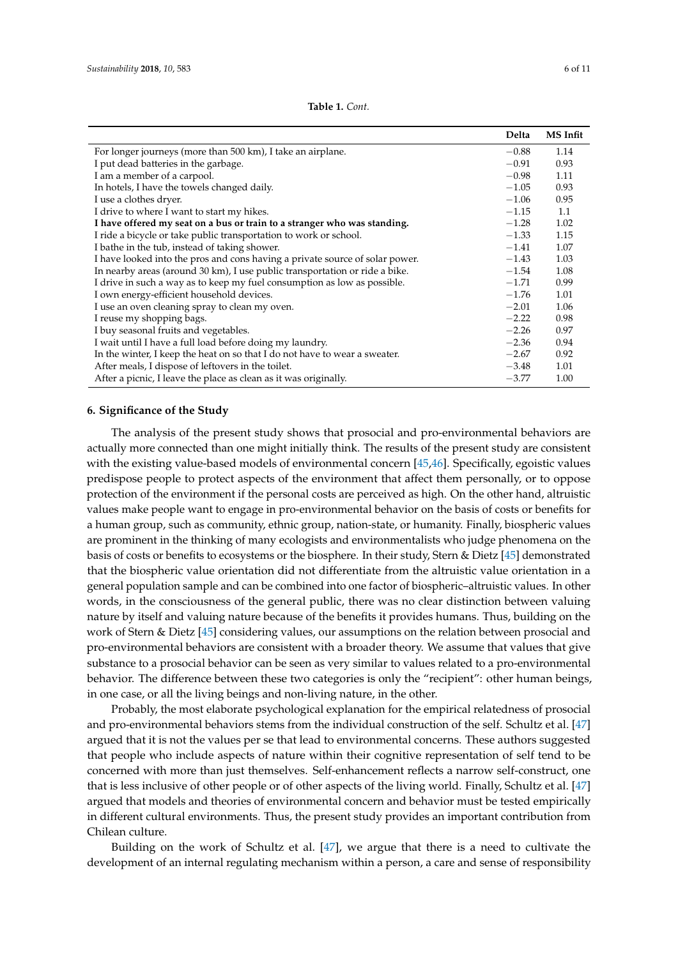| <b>Table 1.</b> Cont. |  |
|-----------------------|--|
|-----------------------|--|

<span id="page-5-0"></span>

|                                                                              | Delta   | <b>MS</b> Infit |
|------------------------------------------------------------------------------|---------|-----------------|
| For longer journeys (more than 500 km), I take an airplane.                  | $-0.88$ | 1.14            |
| I put dead batteries in the garbage.                                         | $-0.91$ | 0.93            |
| I am a member of a carpool.                                                  | $-0.98$ | 1.11            |
| In hotels, I have the towels changed daily.                                  | $-1.05$ | 0.93            |
| I use a clothes dryer.                                                       | $-1.06$ | 0.95            |
| I drive to where I want to start my hikes.                                   | $-1.15$ | 1.1             |
| I have offered my seat on a bus or train to a stranger who was standing.     | $-1.28$ | 1.02            |
| I ride a bicycle or take public transportation to work or school.            | $-1.33$ | 1.15            |
| I bathe in the tub, instead of taking shower.                                | $-1.41$ | 1.07            |
| I have looked into the pros and cons having a private source of solar power. | $-1.43$ | 1.03            |
| In nearby areas (around 30 km), I use public transportation or ride a bike.  | $-1.54$ | 1.08            |
| I drive in such a way as to keep my fuel consumption as low as possible.     | $-1.71$ | 0.99            |
| I own energy-efficient household devices.                                    | $-1.76$ | 1.01            |
| I use an oven cleaning spray to clean my oven.                               | $-2.01$ | 1.06            |
| I reuse my shopping bags.                                                    | $-2.22$ | 0.98            |
| I buy seasonal fruits and vegetables.                                        | $-2.26$ | 0.97            |
| I wait until I have a full load before doing my laundry.                     | $-2.36$ | 0.94            |
| In the winter, I keep the heat on so that I do not have to wear a sweater.   | $-2.67$ | 0.92            |
| After meals, I dispose of leftovers in the toilet.                           | $-3.48$ | 1.01            |
| After a picnic, I leave the place as clean as it was originally.             | $-3.77$ | 1.00            |

## **6. Significance of the Study**

The analysis of the present study shows that prosocial and pro-environmental behaviors are actually more connected than one might initially think. The results of the present study are consistent with the existing value-based models of environmental concern [\[45,](#page-9-17)[46\]](#page-9-18). Specifically, egoistic values predispose people to protect aspects of the environment that affect them personally, or to oppose protection of the environment if the personal costs are perceived as high. On the other hand, altruistic values make people want to engage in pro-environmental behavior on the basis of costs or benefits for a human group, such as community, ethnic group, nation-state, or humanity. Finally, biospheric values are prominent in the thinking of many ecologists and environmentalists who judge phenomena on the basis of costs or benefits to ecosystems or the biosphere. In their study, Stern & Dietz [\[45\]](#page-9-17) demonstrated that the biospheric value orientation did not differentiate from the altruistic value orientation in a general population sample and can be combined into one factor of biospheric–altruistic values. In other words, in the consciousness of the general public, there was no clear distinction between valuing nature by itself and valuing nature because of the benefits it provides humans. Thus, building on the work of Stern & Dietz [\[45\]](#page-9-17) considering values, our assumptions on the relation between prosocial and pro-environmental behaviors are consistent with a broader theory. We assume that values that give substance to a prosocial behavior can be seen as very similar to values related to a pro-environmental behavior. The difference between these two categories is only the "recipient": other human beings, in one case, or all the living beings and non-living nature, in the other.

Probably, the most elaborate psychological explanation for the empirical relatedness of prosocial and pro-environmental behaviors stems from the individual construction of the self. Schultz et al. [\[47\]](#page-9-19) argued that it is not the values per se that lead to environmental concerns. These authors suggested that people who include aspects of nature within their cognitive representation of self tend to be concerned with more than just themselves. Self-enhancement reflects a narrow self-construct, one that is less inclusive of other people or of other aspects of the living world. Finally, Schultz et al. [\[47\]](#page-9-19) argued that models and theories of environmental concern and behavior must be tested empirically in different cultural environments. Thus, the present study provides an important contribution from Chilean culture.

Building on the work of Schultz et al. [\[47\]](#page-9-19), we argue that there is a need to cultivate the development of an internal regulating mechanism within a person, a care and sense of responsibility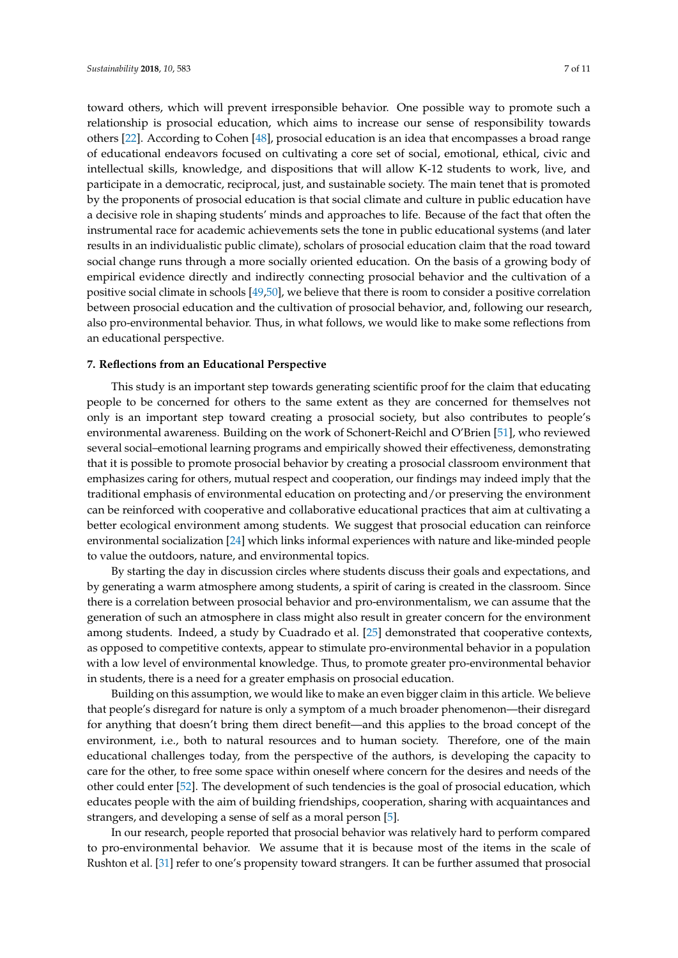toward others, which will prevent irresponsible behavior. One possible way to promote such a relationship is prosocial education, which aims to increase our sense of responsibility towards others [\[22\]](#page-8-18). According to Cohen [\[48\]](#page-9-20), prosocial education is an idea that encompasses a broad range of educational endeavors focused on cultivating a core set of social, emotional, ethical, civic and intellectual skills, knowledge, and dispositions that will allow K-12 students to work, live, and participate in a democratic, reciprocal, just, and sustainable society. The main tenet that is promoted by the proponents of prosocial education is that social climate and culture in public education have a decisive role in shaping students' minds and approaches to life. Because of the fact that often the instrumental race for academic achievements sets the tone in public educational systems (and later results in an individualistic public climate), scholars of prosocial education claim that the road toward social change runs through a more socially oriented education. On the basis of a growing body of empirical evidence directly and indirectly connecting prosocial behavior and the cultivation of a positive social climate in schools [\[49,](#page-9-21)[50\]](#page-9-22), we believe that there is room to consider a positive correlation between prosocial education and the cultivation of prosocial behavior, and, following our research, also pro-environmental behavior. Thus, in what follows, we would like to make some reflections from an educational perspective.

## **7. Reflections from an Educational Perspective**

This study is an important step towards generating scientific proof for the claim that educating people to be concerned for others to the same extent as they are concerned for themselves not only is an important step toward creating a prosocial society, but also contributes to people's environmental awareness. Building on the work of Schonert-Reichl and O'Brien [\[51\]](#page-10-0), who reviewed several social–emotional learning programs and empirically showed their effectiveness, demonstrating that it is possible to promote prosocial behavior by creating a prosocial classroom environment that emphasizes caring for others, mutual respect and cooperation, our findings may indeed imply that the traditional emphasis of environmental education on protecting and/or preserving the environment can be reinforced with cooperative and collaborative educational practices that aim at cultivating a better ecological environment among students. We suggest that prosocial education can reinforce environmental socialization [\[24\]](#page-8-20) which links informal experiences with nature and like-minded people to value the outdoors, nature, and environmental topics.

By starting the day in discussion circles where students discuss their goals and expectations, and by generating a warm atmosphere among students, a spirit of caring is created in the classroom. Since there is a correlation between prosocial behavior and pro-environmentalism, we can assume that the generation of such an atmosphere in class might also result in greater concern for the environment among students. Indeed, a study by Cuadrado et al. [\[25\]](#page-8-21) demonstrated that cooperative contexts, as opposed to competitive contexts, appear to stimulate pro-environmental behavior in a population with a low level of environmental knowledge. Thus, to promote greater pro-environmental behavior in students, there is a need for a greater emphasis on prosocial education.

Building on this assumption, we would like to make an even bigger claim in this article. We believe that people's disregard for nature is only a symptom of a much broader phenomenon—their disregard for anything that doesn't bring them direct benefit—and this applies to the broad concept of the environment, i.e., both to natural resources and to human society. Therefore, one of the main educational challenges today, from the perspective of the authors, is developing the capacity to care for the other, to free some space within oneself where concern for the desires and needs of the other could enter [\[52\]](#page-10-1). The development of such tendencies is the goal of prosocial education, which educates people with the aim of building friendships, cooperation, sharing with acquaintances and strangers, and developing a sense of self as a moral person [\[5\]](#page-8-2).

In our research, people reported that prosocial behavior was relatively hard to perform compared to pro-environmental behavior. We assume that it is because most of the items in the scale of Rushton et al. [\[31\]](#page-9-4) refer to one's propensity toward strangers. It can be further assumed that prosocial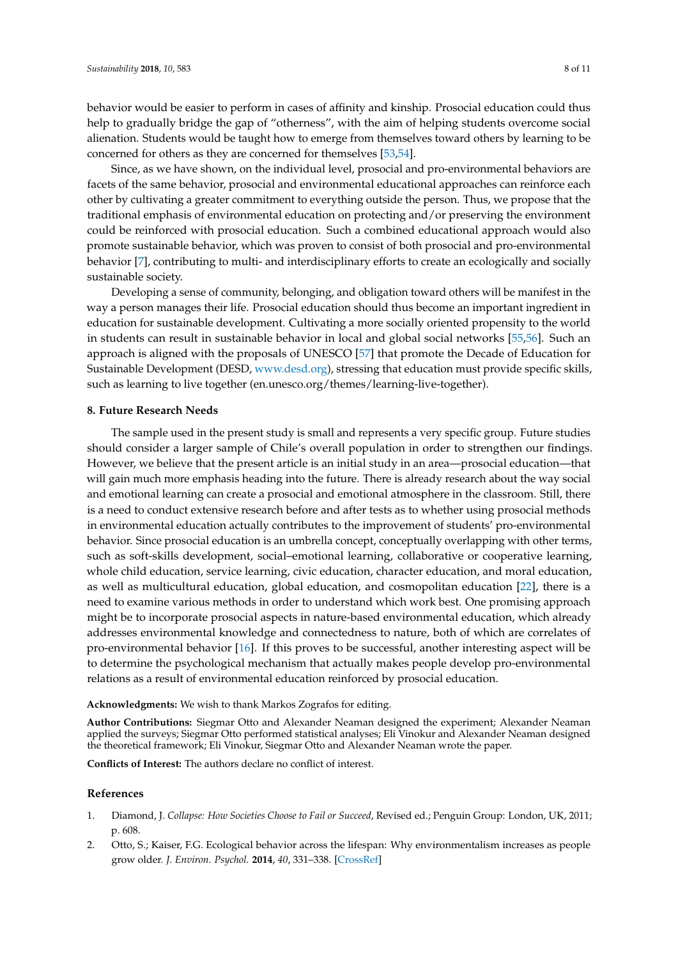behavior would be easier to perform in cases of affinity and kinship. Prosocial education could thus help to gradually bridge the gap of "otherness", with the aim of helping students overcome social alienation. Students would be taught how to emerge from themselves toward others by learning to be concerned for others as they are concerned for themselves [\[53,](#page-10-2)[54\]](#page-10-3).

Since, as we have shown, on the individual level, prosocial and pro-environmental behaviors are facets of the same behavior, prosocial and environmental educational approaches can reinforce each other by cultivating a greater commitment to everything outside the person. Thus, we propose that the traditional emphasis of environmental education on protecting and/or preserving the environment could be reinforced with prosocial education. Such a combined educational approach would also promote sustainable behavior, which was proven to consist of both prosocial and pro-environmental behavior [\[7\]](#page-8-4), contributing to multi- and interdisciplinary efforts to create an ecologically and socially sustainable society.

Developing a sense of community, belonging, and obligation toward others will be manifest in the way a person manages their life. Prosocial education should thus become an important ingredient in education for sustainable development. Cultivating a more socially oriented propensity to the world in students can result in sustainable behavior in local and global social networks [\[55,](#page-10-4)[56\]](#page-10-5). Such an approach is aligned with the proposals of UNESCO [\[57\]](#page-10-6) that promote the Decade of Education for Sustainable Development (DESD, [www.desd.org\)](www.desd.org), stressing that education must provide specific skills, such as learning to live together (en.unesco.org/themes/learning-live-together).

### **8. Future Research Needs**

The sample used in the present study is small and represents a very specific group. Future studies should consider a larger sample of Chile's overall population in order to strengthen our findings. However, we believe that the present article is an initial study in an area—prosocial education—that will gain much more emphasis heading into the future. There is already research about the way social and emotional learning can create a prosocial and emotional atmosphere in the classroom. Still, there is a need to conduct extensive research before and after tests as to whether using prosocial methods in environmental education actually contributes to the improvement of students' pro-environmental behavior. Since prosocial education is an umbrella concept, conceptually overlapping with other terms, such as soft-skills development, social–emotional learning, collaborative or cooperative learning, whole child education, service learning, civic education, character education, and moral education, as well as multicultural education, global education, and cosmopolitan education [\[22\]](#page-8-18), there is a need to examine various methods in order to understand which work best. One promising approach might be to incorporate prosocial aspects in nature-based environmental education, which already addresses environmental knowledge and connectedness to nature, both of which are correlates of pro-environmental behavior [\[16\]](#page-8-12). If this proves to be successful, another interesting aspect will be to determine the psychological mechanism that actually makes people develop pro-environmental relations as a result of environmental education reinforced by prosocial education.

**Acknowledgments:** We wish to thank Markos Zografos for editing.

**Author Contributions:** Siegmar Otto and Alexander Neaman designed the experiment; Alexander Neaman applied the surveys; Siegmar Otto performed statistical analyses; Eli Vinokur and Alexander Neaman designed the theoretical framework; Eli Vinokur, Siegmar Otto and Alexander Neaman wrote the paper.

**Conflicts of Interest:** The authors declare no conflict of interest.

### **References**

- <span id="page-7-0"></span>1. Diamond, J. *Collapse: How Societies Choose to Fail or Succeed*, Revised ed.; Penguin Group: London, UK, 2011; p. 608.
- <span id="page-7-1"></span>2. Otto, S.; Kaiser, F.G. Ecological behavior across the lifespan: Why environmentalism increases as people grow older. *J. Environ. Psychol.* **2014**, *40*, 331–338. [\[CrossRef\]](http://dx.doi.org/10.1016/j.jenvp.2014.08.004)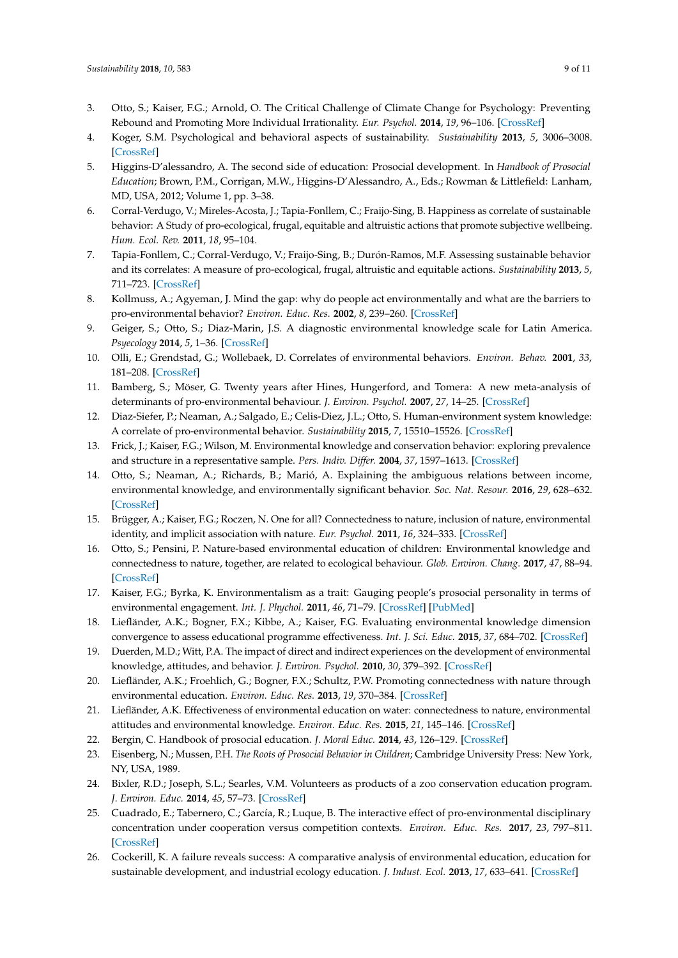- <span id="page-8-0"></span>3. Otto, S.; Kaiser, F.G.; Arnold, O. The Critical Challenge of Climate Change for Psychology: Preventing Rebound and Promoting More Individual Irrationality. *Eur. Psychol.* **2014**, *19*, 96–106. [\[CrossRef\]](http://dx.doi.org/10.1027/1016-9040/a000182)
- <span id="page-8-1"></span>4. Koger, S.M. Psychological and behavioral aspects of sustainability. *Sustainability* **2013**, *5*, 3006–3008. [\[CrossRef\]](http://dx.doi.org/10.3390/su5073006)
- <span id="page-8-2"></span>5. Higgins-D'alessandro, A. The second side of education: Prosocial development. In *Handbook of Prosocial Education*; Brown, P.M., Corrigan, M.W., Higgins-D'Alessandro, A., Eds.; Rowman & Littlefield: Lanham, MD, USA, 2012; Volume 1, pp. 3–38.
- <span id="page-8-3"></span>6. Corral-Verdugo, V.; Mireles-Acosta, J.; Tapia-Fonllem, C.; Fraijo-Sing, B. Happiness as correlate of sustainable behavior: A Study of pro-ecological, frugal, equitable and altruistic actions that promote subjective wellbeing. *Hum. Ecol. Rev.* **2011**, *18*, 95–104.
- <span id="page-8-4"></span>7. Tapia-Fonllem, C.; Corral-Verdugo, V.; Fraijo-Sing, B.; Durón-Ramos, M.F. Assessing sustainable behavior and its correlates: A measure of pro-ecological, frugal, altruistic and equitable actions. *Sustainability* **2013**, *5*, 711–723. [\[CrossRef\]](http://dx.doi.org/10.3390/su5020711)
- <span id="page-8-5"></span>8. Kollmuss, A.; Agyeman, J. Mind the gap: why do people act environmentally and what are the barriers to pro-environmental behavior? *Environ. Educ. Res.* **2002**, *8*, 239–260. [\[CrossRef\]](http://dx.doi.org/10.1080/13504620220145401)
- <span id="page-8-6"></span>9. Geiger, S.; Otto, S.; Diaz-Marin, J.S. A diagnostic environmental knowledge scale for Latin America. *Psyecology* **2014**, *5*, 1–36. [\[CrossRef\]](http://dx.doi.org/10.1080/21711976.2014.881664)
- <span id="page-8-7"></span>10. Olli, E.; Grendstad, G.; Wollebaek, D. Correlates of environmental behaviors. *Environ. Behav.* **2001**, *33*, 181–208. [\[CrossRef\]](http://dx.doi.org/10.1177/0013916501332002)
- <span id="page-8-8"></span>11. Bamberg, S.; Möser, G. Twenty years after Hines, Hungerford, and Tomera: A new meta-analysis of determinants of pro-environmental behaviour. *J. Environ. Psychol.* **2007**, *27*, 14–25. [\[CrossRef\]](http://dx.doi.org/10.1016/j.jenvp.2006.12.002)
- <span id="page-8-9"></span>12. Diaz-Siefer, P.; Neaman, A.; Salgado, E.; Celis-Diez, J.L.; Otto, S. Human-environment system knowledge: A correlate of pro-environmental behavior. *Sustainability* **2015**, *7*, 15510–15526. [\[CrossRef\]](http://dx.doi.org/10.3390/su71115510)
- 13. Frick, J.; Kaiser, F.G.; Wilson, M. Environmental knowledge and conservation behavior: exploring prevalence and structure in a representative sample. *Pers. Indiv. Differ.* **2004**, *37*, 1597–1613. [\[CrossRef\]](http://dx.doi.org/10.1016/j.paid.2004.02.015)
- <span id="page-8-10"></span>14. Otto, S.; Neaman, A.; Richards, B.; Marió, A. Explaining the ambiguous relations between income, environmental knowledge, and environmentally significant behavior. *Soc. Nat. Resour.* **2016**, *29*, 628–632. [\[CrossRef\]](http://dx.doi.org/10.1080/08941920.2015.1037410)
- <span id="page-8-11"></span>15. Brügger, A.; Kaiser, F.G.; Roczen, N. One for all? Connectedness to nature, inclusion of nature, environmental identity, and implicit association with nature. *Eur. Psychol.* **2011**, *16*, 324–333. [\[CrossRef\]](http://dx.doi.org/10.1027/1016-9040/a000032)
- <span id="page-8-12"></span>16. Otto, S.; Pensini, P. Nature-based environmental education of children: Environmental knowledge and connectedness to nature, together, are related to ecological behaviour. *Glob. Environ. Chang.* **2017**, *47*, 88–94. [\[CrossRef\]](http://dx.doi.org/10.1016/j.gloenvcha.2017.09.009)
- <span id="page-8-13"></span>17. Kaiser, F.G.; Byrka, K. Environmentalism as a trait: Gauging people's prosocial personality in terms of environmental engagement. *Int. J. Phychol.* **2011**, *46*, 71–79. [\[CrossRef\]](http://dx.doi.org/10.1080/00207594.2010.516830) [\[PubMed\]](http://www.ncbi.nlm.nih.gov/pubmed/22044135)
- <span id="page-8-14"></span>18. Liefländer, A.K.; Bogner, F.X.; Kibbe, A.; Kaiser, F.G. Evaluating environmental knowledge dimension convergence to assess educational programme effectiveness. *Int. J. Sci. Educ.* **2015**, *37*, 684–702. [\[CrossRef\]](http://dx.doi.org/10.1080/09500693.2015.1010628)
- <span id="page-8-15"></span>19. Duerden, M.D.; Witt, P.A. The impact of direct and indirect experiences on the development of environmental knowledge, attitudes, and behavior. *J. Environ. Psychol.* **2010**, *30*, 379–392. [\[CrossRef\]](http://dx.doi.org/10.1016/j.jenvp.2010.03.007)
- <span id="page-8-16"></span>20. Liefländer, A.K.; Froehlich, G.; Bogner, F.X.; Schultz, P.W. Promoting connectedness with nature through environmental education. *Environ. Educ. Res.* **2013**, *19*, 370–384. [\[CrossRef\]](http://dx.doi.org/10.1080/13504622.2012.697545)
- <span id="page-8-17"></span>21. Liefländer, A.K. Effectiveness of environmental education on water: connectedness to nature, environmental attitudes and environmental knowledge. *Environ. Educ. Res.* **2015**, *21*, 145–146. [\[CrossRef\]](http://dx.doi.org/10.1080/13504622.2014.927831)
- <span id="page-8-18"></span>22. Bergin, C. Handbook of prosocial education. *J. Moral Educ.* **2014**, *43*, 126–129. [\[CrossRef\]](http://dx.doi.org/10.1080/03057240.2014.883708)
- <span id="page-8-19"></span>23. Eisenberg, N.; Mussen, P.H. *The Roots of Prosocial Behavior in Children*; Cambridge University Press: New York, NY, USA, 1989.
- <span id="page-8-20"></span>24. Bixler, R.D.; Joseph, S.L.; Searles, V.M. Volunteers as products of a zoo conservation education program. *J. Environ. Educ.* **2014**, *45*, 57–73. [\[CrossRef\]](http://dx.doi.org/10.1080/00958964.2013.814618)
- <span id="page-8-21"></span>25. Cuadrado, E.; Tabernero, C.; García, R.; Luque, B. The interactive effect of pro-environmental disciplinary concentration under cooperation versus competition contexts. *Environ. Educ. Res.* **2017**, *23*, 797–811. [\[CrossRef\]](http://dx.doi.org/10.1080/13504622.2015.1095860)
- <span id="page-8-22"></span>26. Cockerill, K. A failure reveals success: A comparative analysis of environmental education, education for sustainable development, and industrial ecology education. *J. Indust. Ecol.* **2013**, *17*, 633–641. [\[CrossRef\]](http://dx.doi.org/10.1111/jiec.12049)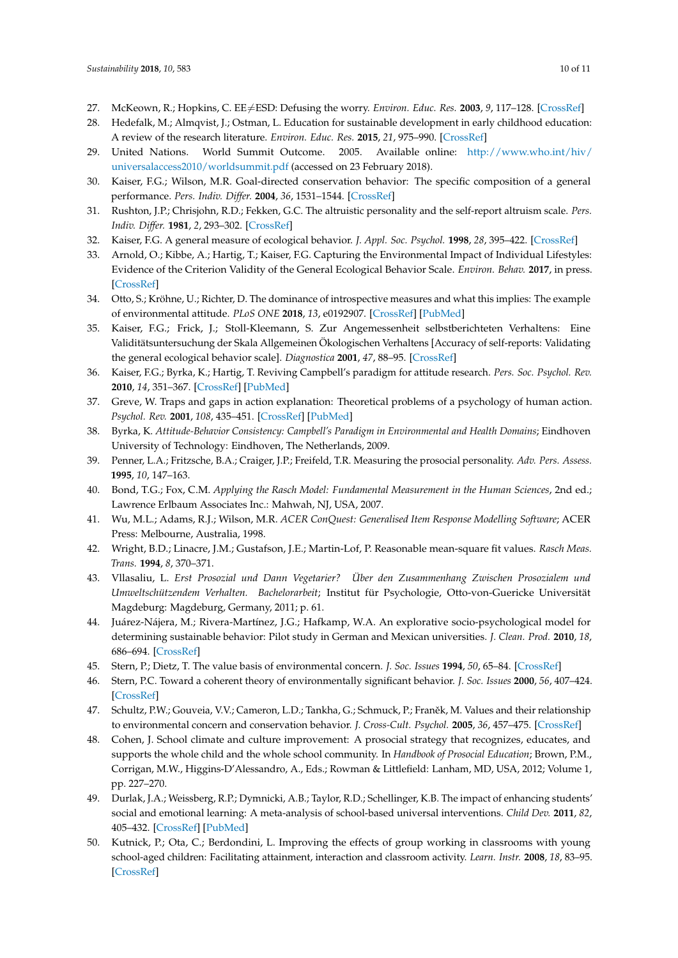- <span id="page-9-0"></span>27. McKeown, R.; Hopkins, C. EE $\neq$ ESD: Defusing the worry. *Environ. Educ. Res.* 2003, 9, 117–128. [\[CrossRef\]](http://dx.doi.org/10.1080/13504620303469)
- <span id="page-9-1"></span>28. Hedefalk, M.; Almqvist, J.; Ostman, L. Education for sustainable development in early childhood education: A review of the research literature. *Environ. Educ. Res.* **2015**, *21*, 975–990. [\[CrossRef\]](http://dx.doi.org/10.1080/13504622.2014.971716)
- <span id="page-9-2"></span>29. United Nations. World Summit Outcome. 2005. Available online: [http://www.who.int/hiv/](http://www.who.int/hiv/universalaccess2010/worldsummit.pdf) [universalaccess2010/worldsummit.pdf](http://www.who.int/hiv/universalaccess2010/worldsummit.pdf) (accessed on 23 February 2018).
- <span id="page-9-3"></span>30. Kaiser, F.G.; Wilson, M.R. Goal-directed conservation behavior: The specific composition of a general performance. *Pers. Indiv. Differ.* **2004**, *36*, 1531–1544. [\[CrossRef\]](http://dx.doi.org/10.1016/j.paid.2003.06.003)
- <span id="page-9-4"></span>31. Rushton, J.P.; Chrisjohn, R.D.; Fekken, G.C. The altruistic personality and the self-report altruism scale. *Pers. Indiv. Differ.* **1981**, *2*, 293–302. [\[CrossRef\]](http://dx.doi.org/10.1016/0191-8869(81)90084-2)
- <span id="page-9-5"></span>32. Kaiser, F.G. A general measure of ecological behavior. *J. Appl. Soc. Psychol.* **1998**, *28*, 395–422. [\[CrossRef\]](http://dx.doi.org/10.1111/j.1559-1816.1998.tb01712.x)
- 33. Arnold, O.; Kibbe, A.; Hartig, T.; Kaiser, F.G. Capturing the Environmental Impact of Individual Lifestyles: Evidence of the Criterion Validity of the General Ecological Behavior Scale. *Environ. Behav.* **2017**, in press. [\[CrossRef\]](http://dx.doi.org/10.1177/0013916517701796)
- <span id="page-9-6"></span>34. Otto, S.; Kröhne, U.; Richter, D. The dominance of introspective measures and what this implies: The example of environmental attitude. *PLoS ONE* **2018**, *13*, e0192907. [\[CrossRef\]](http://dx.doi.org/10.1371/journal.pone.0192907) [\[PubMed\]](http://www.ncbi.nlm.nih.gov/pubmed/29447235)
- <span id="page-9-7"></span>35. Kaiser, F.G.; Frick, J.; Stoll-Kleemann, S. Zur Angemessenheit selbstberichteten Verhaltens: Eine Validitätsuntersuchung der Skala Allgemeinen Ökologischen Verhaltens [Accuracy of self-reports: Validating the general ecological behavior scale]. *Diagnostica* **2001**, *47*, 88–95. [\[CrossRef\]](http://dx.doi.org/10.1026//0012-1924.47.2.88)
- <span id="page-9-8"></span>36. Kaiser, F.G.; Byrka, K.; Hartig, T. Reviving Campbell's paradigm for attitude research. *Pers. Soc. Psychol. Rev.* **2010**, *14*, 351–367. [\[CrossRef\]](http://dx.doi.org/10.1177/1088868310366452) [\[PubMed\]](http://www.ncbi.nlm.nih.gov/pubmed/20435803)
- <span id="page-9-9"></span>37. Greve, W. Traps and gaps in action explanation: Theoretical problems of a psychology of human action. *Psychol. Rev.* **2001**, *108*, 435–451. [\[CrossRef\]](http://dx.doi.org/10.1037/0033-295X.108.2.435) [\[PubMed\]](http://www.ncbi.nlm.nih.gov/pubmed/11381836)
- <span id="page-9-10"></span>38. Byrka, K. *Attitude-Behavior Consistency: Campbell's Paradigm in Environmental and Health Domains*; Eindhoven University of Technology: Eindhoven, The Netherlands, 2009.
- <span id="page-9-11"></span>39. Penner, L.A.; Fritzsche, B.A.; Craiger, J.P.; Freifeld, T.R. Measuring the prosocial personality. *Adv. Pers. Assess.* **1995**, *10*, 147–163.
- <span id="page-9-12"></span>40. Bond, T.G.; Fox, C.M. *Applying the Rasch Model: Fundamental Measurement in the Human Sciences*, 2nd ed.; Lawrence Erlbaum Associates Inc.: Mahwah, NJ, USA, 2007.
- <span id="page-9-13"></span>41. Wu, M.L.; Adams, R.J.; Wilson, M.R. *ACER ConQuest: Generalised Item Response Modelling Software*; ACER Press: Melbourne, Australia, 1998.
- <span id="page-9-14"></span>42. Wright, B.D.; Linacre, J.M.; Gustafson, J.E.; Martin-Lof, P. Reasonable mean-square fit values. *Rasch Meas. Trans.* **1994**, *8*, 370–371.
- <span id="page-9-15"></span>43. Vllasaliu, L. *Erst Prosozial und Dann Vegetarier? Über den Zusammenhang Zwischen Prosozialem und Umweltschützendem Verhalten. Bachelorarbeit*; Institut für Psychologie, Otto-von-Guericke Universität Magdeburg: Magdeburg, Germany, 2011; p. 61.
- <span id="page-9-16"></span>44. Juárez-Nájera, M.; Rivera-Martínez, J.G.; Hafkamp, W.A. An explorative socio-psychological model for determining sustainable behavior: Pilot study in German and Mexican universities. *J. Clean. Prod.* **2010**, *18*, 686–694. [\[CrossRef\]](http://dx.doi.org/10.1016/j.jclepro.2009.09.018)
- <span id="page-9-17"></span>45. Stern, P.; Dietz, T. The value basis of environmental concern. *J. Soc. Issues* **1994**, *50*, 65–84. [\[CrossRef\]](http://dx.doi.org/10.1111/j.1540-4560.1994.tb02420.x)
- <span id="page-9-18"></span>46. Stern, P.C. Toward a coherent theory of environmentally significant behavior. *J. Soc. Issues* **2000**, *56*, 407–424. [\[CrossRef\]](http://dx.doi.org/10.1111/0022-4537.00175)
- <span id="page-9-19"></span>47. Schultz, P.W.; Gouveia, V.V.; Cameron, L.D.; Tankha, G.; Schmuck, P.; Franěk, M. Values and their relationship to environmental concern and conservation behavior. *J. Cross-Cult. Psychol.* **2005**, *36*, 457–475. [\[CrossRef\]](http://dx.doi.org/10.1177/0022022105275962)
- <span id="page-9-20"></span>48. Cohen, J. School climate and culture improvement: A prosocial strategy that recognizes, educates, and supports the whole child and the whole school community. In *Handbook of Prosocial Education*; Brown, P.M., Corrigan, M.W., Higgins-D'Alessandro, A., Eds.; Rowman & Littlefield: Lanham, MD, USA, 2012; Volume 1, pp. 227–270.
- <span id="page-9-21"></span>49. Durlak, J.A.; Weissberg, R.P.; Dymnicki, A.B.; Taylor, R.D.; Schellinger, K.B. The impact of enhancing students' social and emotional learning: A meta-analysis of school-based universal interventions. *Child Dev.* **2011**, *82*, 405–432. [\[CrossRef\]](http://dx.doi.org/10.1111/j.1467-8624.2010.01564.x) [\[PubMed\]](http://www.ncbi.nlm.nih.gov/pubmed/21291449)
- <span id="page-9-22"></span>50. Kutnick, P.; Ota, C.; Berdondini, L. Improving the effects of group working in classrooms with young school-aged children: Facilitating attainment, interaction and classroom activity. *Learn. Instr.* **2008**, *18*, 83–95. [\[CrossRef\]](http://dx.doi.org/10.1016/j.learninstruc.2006.12.002)